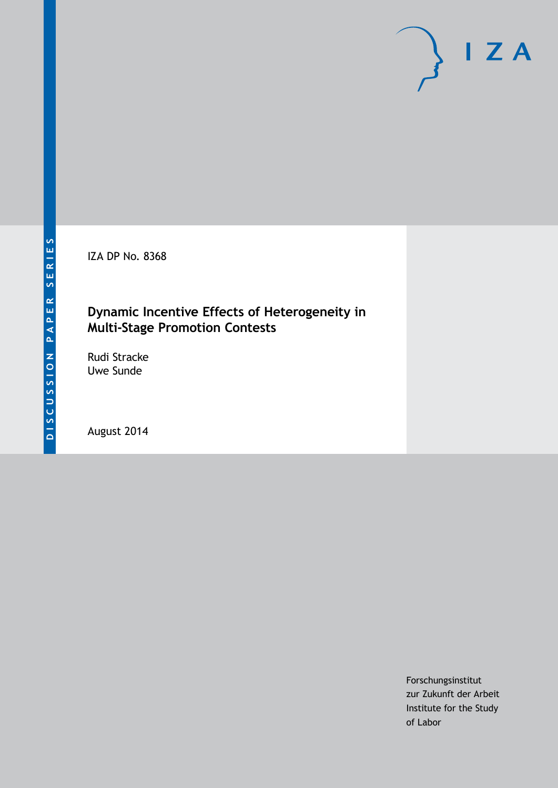IZA DP No. 8368

### **Dynamic Incentive Effects of Heterogeneity in Multi-Stage Promotion Contests**

Rudi Stracke Uwe Sunde

August 2014

Forschungsinstitut zur Zukunft der Arbeit Institute for the Study of Labor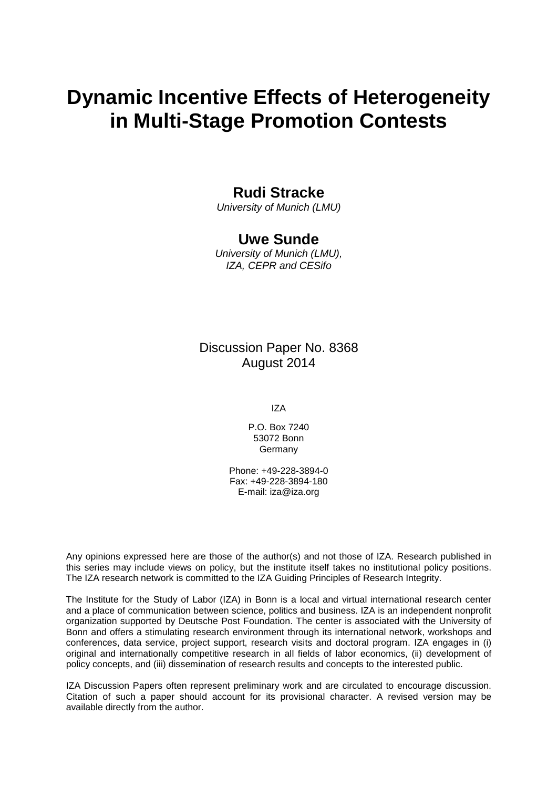# **Dynamic Incentive Effects of Heterogeneity in Multi-Stage Promotion Contests**

### **Rudi Stracke**

*University of Munich (LMU)*

### **Uwe Sunde**

*University of Munich (LMU), IZA, CEPR and CESifo*

### Discussion Paper No. 8368 August 2014

IZA

P.O. Box 7240 53072 Bonn Germany

Phone: +49-228-3894-0 Fax: +49-228-3894-180 E-mail: [iza@iza.org](mailto:iza@iza.org)

Any opinions expressed here are those of the author(s) and not those of IZA. Research published in this series may include views on policy, but the institute itself takes no institutional policy positions. The IZA research network is committed to the IZA Guiding Principles of Research Integrity.

The Institute for the Study of Labor (IZA) in Bonn is a local and virtual international research center and a place of communication between science, politics and business. IZA is an independent nonprofit organization supported by Deutsche Post Foundation. The center is associated with the University of Bonn and offers a stimulating research environment through its international network, workshops and conferences, data service, project support, research visits and doctoral program. IZA engages in (i) original and internationally competitive research in all fields of labor economics, (ii) development of policy concepts, and (iii) dissemination of research results and concepts to the interested public.

<span id="page-1-0"></span>IZA Discussion Papers often represent preliminary work and are circulated to encourage discussion. Citation of such a paper should account for its provisional character. A revised version may be available directly from the author.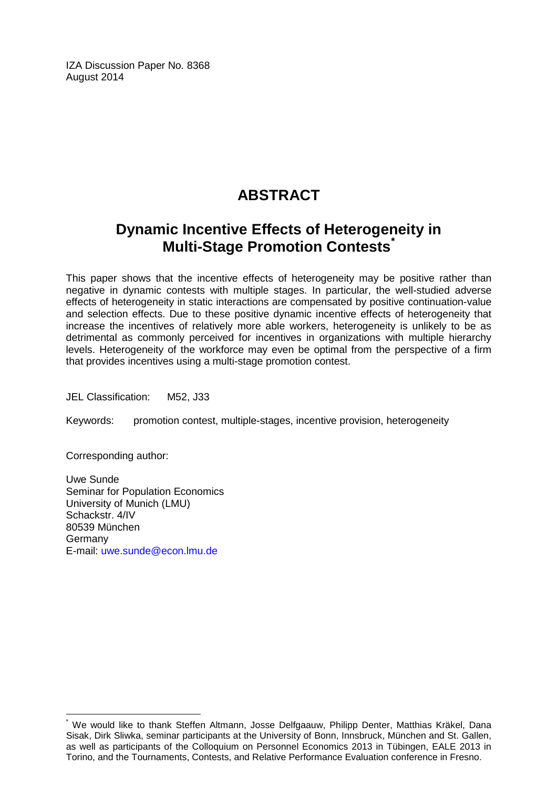IZA Discussion Paper No. 8368 August 2014

# **ABSTRACT**

# **Dynamic Incentive Effects of Heterogeneity in Multi-Stage Promotion Contests[\\*](#page-1-0)**

This paper shows that the incentive effects of heterogeneity may be positive rather than negative in dynamic contests with multiple stages. In particular, the well-studied adverse effects of heterogeneity in static interactions are compensated by positive continuation-value and selection effects. Due to these positive dynamic incentive effects of heterogeneity that increase the incentives of relatively more able workers, heterogeneity is unlikely to be as detrimental as commonly perceived for incentives in organizations with multiple hierarchy levels. Heterogeneity of the workforce may even be optimal from the perspective of a firm that provides incentives using a multi-stage promotion contest.

JEL Classification: M52, J33

Keywords: promotion contest, multiple-stages, incentive provision, heterogeneity

Corresponding author:

Uwe Sunde Seminar for Population Economics University of Munich (LMU) Schackstr. 4/IV 80539 München Germany E-mail: [uwe.sunde@econ.lmu.de](mailto:uwe.sunde@econ.lmu.de)

\* We would like to thank Steffen Altmann, Josse Delfgaauw, Philipp Denter, Matthias Kräkel, Dana Sisak, Dirk Sliwka, seminar participants at the University of Bonn, Innsbruck, München and St. Gallen, as well as participants of the Colloquium on Personnel Economics 2013 in Tübingen, EALE 2013 in Torino, and the Tournaments, Contests, and Relative Performance Evaluation conference in Fresno.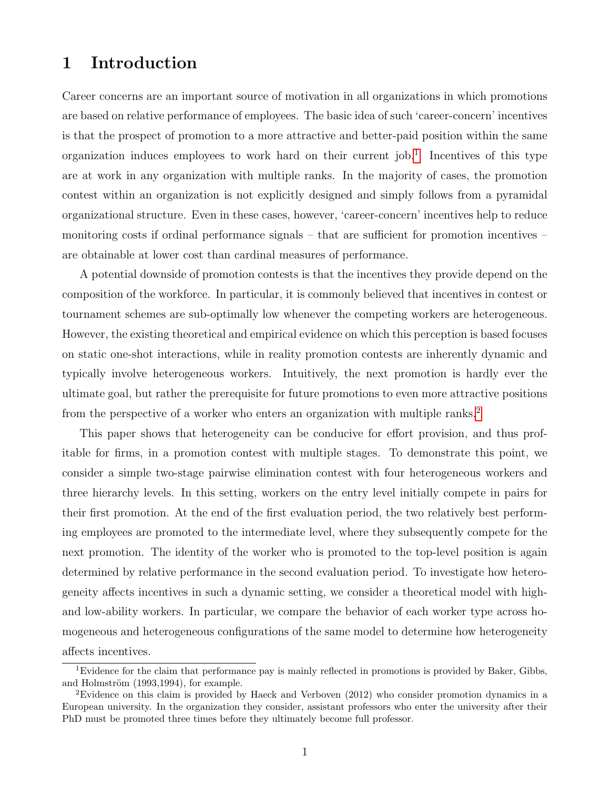# 1 Introduction

Career concerns are an important source of motivation in all organizations in which promotions are based on relative performance of employees. The basic idea of such 'career-concern' incentives is that the prospect of promotion to a more attractive and better-paid position within the same organization induces employees to work hard on their current job.<sup>[1](#page--1-0)</sup> Incentives of this type are at work in any organization with multiple ranks. In the majority of cases, the promotion contest within an organization is not explicitly designed and simply follows from a pyramidal organizational structure. Even in these cases, however, 'career-concern' incentives help to reduce monitoring costs if ordinal performance signals – that are sufficient for promotion incentives – are obtainable at lower cost than cardinal measures of performance.

A potential downside of promotion contests is that the incentives they provide depend on the composition of the workforce. In particular, it is commonly believed that incentives in contest or tournament schemes are sub-optimally low whenever the competing workers are heterogeneous. However, the existing theoretical and empirical evidence on which this perception is based focuses on static one-shot interactions, while in reality promotion contests are inherently dynamic and typically involve heterogeneous workers. Intuitively, the next promotion is hardly ever the ultimate goal, but rather the prerequisite for future promotions to even more attractive positions from the perspective of a worker who enters an organization with multiple ranks.<sup>[2](#page--1-0)</sup>

This paper shows that heterogeneity can be conducive for effort provision, and thus profitable for firms, in a promotion contest with multiple stages. To demonstrate this point, we consider a simple two-stage pairwise elimination contest with four heterogeneous workers and three hierarchy levels. In this setting, workers on the entry level initially compete in pairs for their first promotion. At the end of the first evaluation period, the two relatively best performing employees are promoted to the intermediate level, where they subsequently compete for the next promotion. The identity of the worker who is promoted to the top-level position is again determined by relative performance in the second evaluation period. To investigate how heterogeneity affects incentives in such a dynamic setting, we consider a theoretical model with highand low-ability workers. In particular, we compare the behavior of each worker type across homogeneous and heterogeneous configurations of the same model to determine how heterogeneity affects incentives.

<sup>&</sup>lt;sup>1</sup>Evidence for the claim that performance pay is mainly reflected in promotions is provided by Baker, Gibbs, and Holmström  $(1993, 1994)$ , for example.

<sup>2</sup>Evidence on this claim is provided by Haeck and Verboven (2012) who consider promotion dynamics in a European university. In the organization they consider, assistant professors who enter the university after their PhD must be promoted three times before they ultimately become full professor.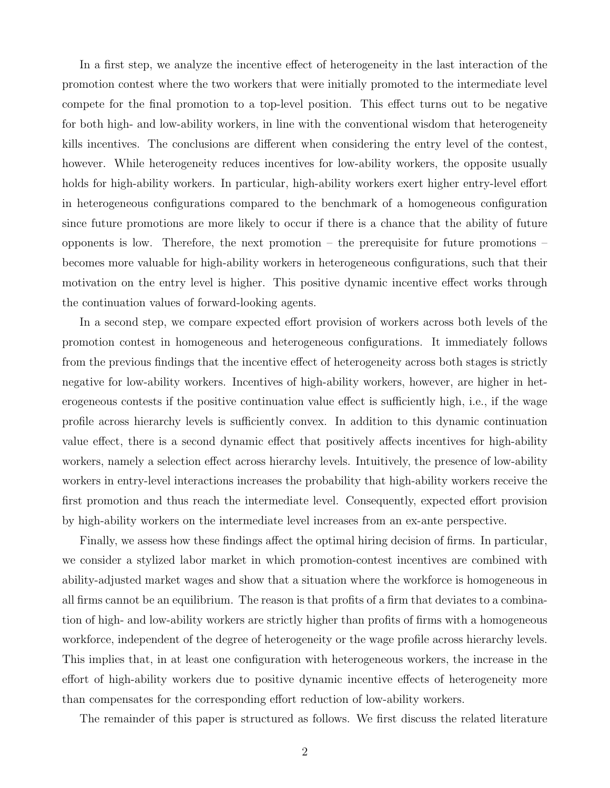In a first step, we analyze the incentive effect of heterogeneity in the last interaction of the promotion contest where the two workers that were initially promoted to the intermediate level compete for the final promotion to a top-level position. This effect turns out to be negative for both high- and low-ability workers, in line with the conventional wisdom that heterogeneity kills incentives. The conclusions are different when considering the entry level of the contest, however. While heterogeneity reduces incentives for low-ability workers, the opposite usually holds for high-ability workers. In particular, high-ability workers exert higher entry-level effort in heterogeneous configurations compared to the benchmark of a homogeneous configuration since future promotions are more likely to occur if there is a chance that the ability of future opponents is low. Therefore, the next promotion – the prerequisite for future promotions – becomes more valuable for high-ability workers in heterogeneous configurations, such that their motivation on the entry level is higher. This positive dynamic incentive effect works through the continuation values of forward-looking agents.

In a second step, we compare expected effort provision of workers across both levels of the promotion contest in homogeneous and heterogeneous configurations. It immediately follows from the previous findings that the incentive effect of heterogeneity across both stages is strictly negative for low-ability workers. Incentives of high-ability workers, however, are higher in heterogeneous contests if the positive continuation value effect is sufficiently high, i.e., if the wage profile across hierarchy levels is sufficiently convex. In addition to this dynamic continuation value effect, there is a second dynamic effect that positively affects incentives for high-ability workers, namely a selection effect across hierarchy levels. Intuitively, the presence of low-ability workers in entry-level interactions increases the probability that high-ability workers receive the first promotion and thus reach the intermediate level. Consequently, expected effort provision by high-ability workers on the intermediate level increases from an ex-ante perspective.

Finally, we assess how these findings affect the optimal hiring decision of firms. In particular, we consider a stylized labor market in which promotion-contest incentives are combined with ability-adjusted market wages and show that a situation where the workforce is homogeneous in all firms cannot be an equilibrium. The reason is that profits of a firm that deviates to a combination of high- and low-ability workers are strictly higher than profits of firms with a homogeneous workforce, independent of the degree of heterogeneity or the wage profile across hierarchy levels. This implies that, in at least one configuration with heterogeneous workers, the increase in the effort of high-ability workers due to positive dynamic incentive effects of heterogeneity more than compensates for the corresponding effort reduction of low-ability workers.

The remainder of this paper is structured as follows. We first discuss the related literature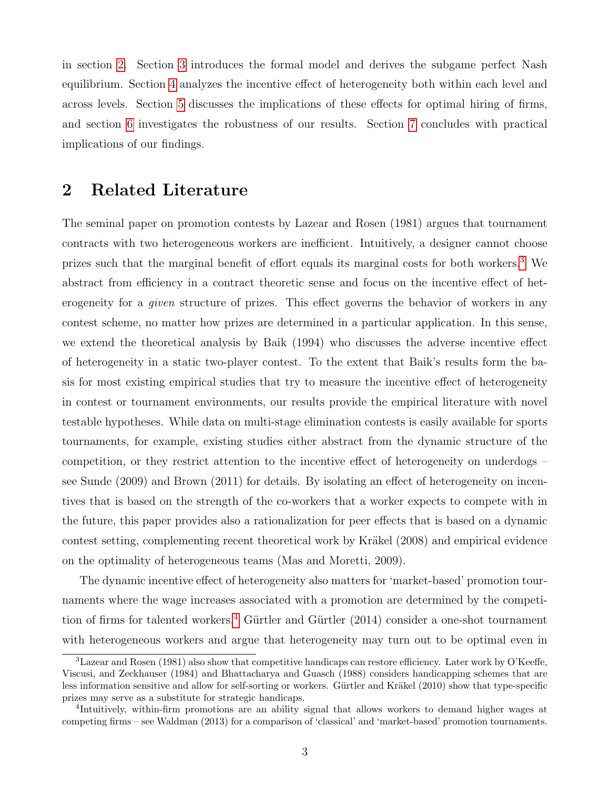in section [2.](#page-5-0) Section [3](#page-7-0) introduces the formal model and derives the subgame perfect Nash equilibrium. Section [4](#page-11-0) analyzes the incentive effect of heterogeneity both within each level and across levels. Section [5](#page-20-0) discusses the implications of these effects for optimal hiring of firms, and section [6](#page-26-0) investigates the robustness of our results. Section [7](#page-29-0) concludes with practical implications of our findings.

### <span id="page-5-0"></span>2 Related Literature

The seminal paper on promotion contests by Lazear and Rosen (1981) argues that tournament contracts with two heterogeneous workers are inefficient. Intuitively, a designer cannot choose prizes such that the marginal benefit of effort equals its marginal costs for both workers.[3](#page--1-0) We abstract from efficiency in a contract theoretic sense and focus on the incentive effect of heterogeneity for a given structure of prizes. This effect governs the behavior of workers in any contest scheme, no matter how prizes are determined in a particular application. In this sense, we extend the theoretical analysis by Baik (1994) who discusses the adverse incentive effect of heterogeneity in a static two-player contest. To the extent that Baik's results form the basis for most existing empirical studies that try to measure the incentive effect of heterogeneity in contest or tournament environments, our results provide the empirical literature with novel testable hypotheses. While data on multi-stage elimination contests is easily available for sports tournaments, for example, existing studies either abstract from the dynamic structure of the competition, or they restrict attention to the incentive effect of heterogeneity on underdogs – see Sunde (2009) and Brown (2011) for details. By isolating an effect of heterogeneity on incentives that is based on the strength of the co-workers that a worker expects to compete with in the future, this paper provides also a rationalization for peer effects that is based on a dynamic contest setting, complementing recent theoretical work by Kräkel (2008) and empirical evidence on the optimality of heterogeneous teams (Mas and Moretti, 2009).

The dynamic incentive effect of heterogeneity also matters for 'market-based' promotion tournaments where the wage increases associated with a promotion are determined by the competi-tion of firms for talented workers.<sup>[4](#page--1-0)</sup> Gürtler and Gürtler  $(2014)$  consider a one-shot tournament with heterogeneous workers and argue that heterogeneity may turn out to be optimal even in

<sup>3</sup>Lazear and Rosen (1981) also show that competitive handicaps can restore efficiency. Later work by O'Keeffe, Viscusi, and Zeckhauser (1984) and Bhattacharya and Guasch (1988) considers handicapping schemes that are less information sensitive and allow for self-sorting or workers. Gürtler and Kräkel (2010) show that type-specific prizes may serve as a substitute for strategic handicaps.

<sup>4</sup> Intuitively, within-firm promotions are an ability signal that allows workers to demand higher wages at competing firms – see Waldman (2013) for a comparison of 'classical' and 'market-based' promotion tournaments.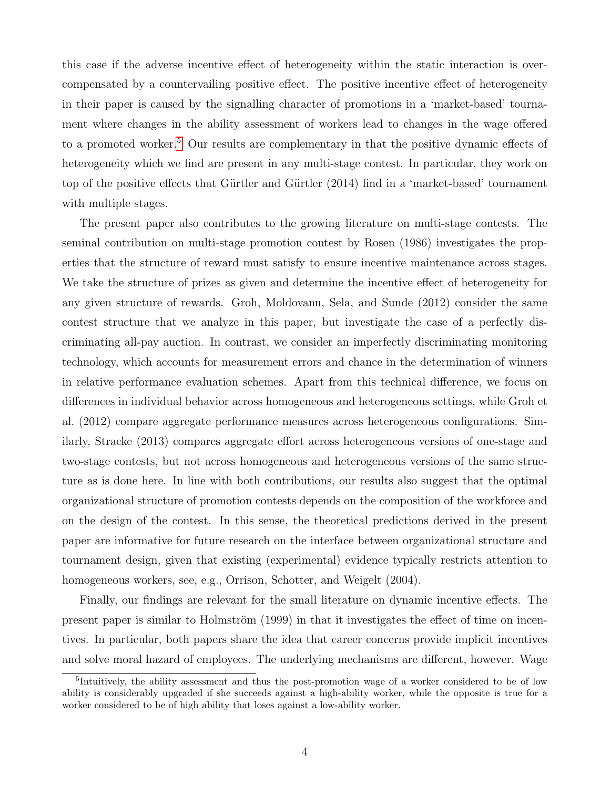this case if the adverse incentive effect of heterogeneity within the static interaction is overcompensated by a countervailing positive effect. The positive incentive effect of heterogeneity in their paper is caused by the signalling character of promotions in a 'market-based' tournament where changes in the ability assessment of workers lead to changes in the wage offered to a promoted worker.<sup>[5](#page--1-0)</sup> Our results are complementary in that the positive dynamic effects of heterogeneity which we find are present in any multi-stage contest. In particular, they work on top of the positive effects that Gürtler and Gürtler (2014) find in a 'market-based' tournament with multiple stages.

The present paper also contributes to the growing literature on multi-stage contests. The seminal contribution on multi-stage promotion contest by Rosen (1986) investigates the properties that the structure of reward must satisfy to ensure incentive maintenance across stages. We take the structure of prizes as given and determine the incentive effect of heterogeneity for any given structure of rewards. Groh, Moldovanu, Sela, and Sunde (2012) consider the same contest structure that we analyze in this paper, but investigate the case of a perfectly discriminating all-pay auction. In contrast, we consider an imperfectly discriminating monitoring technology, which accounts for measurement errors and chance in the determination of winners in relative performance evaluation schemes. Apart from this technical difference, we focus on differences in individual behavior across homogeneous and heterogeneous settings, while Groh et al. (2012) compare aggregate performance measures across heterogeneous configurations. Similarly, Stracke (2013) compares aggregate effort across heterogeneous versions of one-stage and two-stage contests, but not across homogeneous and heterogeneous versions of the same structure as is done here. In line with both contributions, our results also suggest that the optimal organizational structure of promotion contests depends on the composition of the workforce and on the design of the contest. In this sense, the theoretical predictions derived in the present paper are informative for future research on the interface between organizational structure and tournament design, given that existing (experimental) evidence typically restricts attention to homogeneous workers, see, e.g., Orrison, Schotter, and Weigelt (2004).

Finally, our findings are relevant for the small literature on dynamic incentive effects. The present paper is similar to Holmström (1999) in that it investigates the effect of time on incentives. In particular, both papers share the idea that career concerns provide implicit incentives and solve moral hazard of employees. The underlying mechanisms are different, however. Wage

<sup>&</sup>lt;sup>5</sup>Intuitively, the ability assessment and thus the post-promotion wage of a worker considered to be of low ability is considerably upgraded if she succeeds against a high-ability worker, while the opposite is true for a worker considered to be of high ability that loses against a low-ability worker.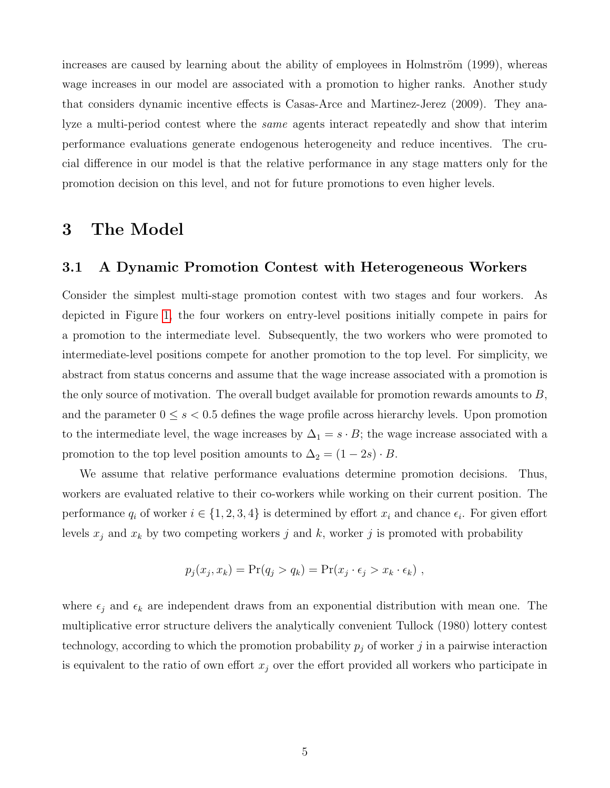increases are caused by learning about the ability of employees in Holmström (1999), whereas wage increases in our model are associated with a promotion to higher ranks. Another study that considers dynamic incentive effects is Casas-Arce and Martinez-Jerez (2009). They analyze a multi-period contest where the same agents interact repeatedly and show that interim performance evaluations generate endogenous heterogeneity and reduce incentives. The crucial difference in our model is that the relative performance in any stage matters only for the promotion decision on this level, and not for future promotions to even higher levels.

### <span id="page-7-0"></span>3 The Model

### 3.1 A Dynamic Promotion Contest with Heterogeneous Workers

Consider the simplest multi-stage promotion contest with two stages and four workers. As depicted in Figure [1,](#page-8-0) the four workers on entry-level positions initially compete in pairs for a promotion to the intermediate level. Subsequently, the two workers who were promoted to intermediate-level positions compete for another promotion to the top level. For simplicity, we abstract from status concerns and assume that the wage increase associated with a promotion is the only source of motivation. The overall budget available for promotion rewards amounts to  $B$ , and the parameter  $0 \leq s < 0.5$  defines the wage profile across hierarchy levels. Upon promotion to the intermediate level, the wage increases by  $\Delta_1 = s \cdot B$ ; the wage increase associated with a promotion to the top level position amounts to  $\Delta_2 = (1 - 2s) \cdot B$ .

We assume that relative performance evaluations determine promotion decisions. Thus, workers are evaluated relative to their co-workers while working on their current position. The performance  $q_i$  of worker  $i \in \{1, 2, 3, 4\}$  is determined by effort  $x_i$  and chance  $\epsilon_i$ . For given effort levels  $x_j$  and  $x_k$  by two competing workers j and k, worker j is promoted with probability

$$
p_j(x_j, x_k) = \Pr(q_j > q_k) = \Pr(x_j \cdot \epsilon_j > x_k \cdot \epsilon_k),
$$

where  $\epsilon_j$  and  $\epsilon_k$  are independent draws from an exponential distribution with mean one. The multiplicative error structure delivers the analytically convenient Tullock (1980) lottery contest technology, according to which the promotion probability  $p_j$  of worker j in a pairwise interaction is equivalent to the ratio of own effort  $x_j$  over the effort provided all workers who participate in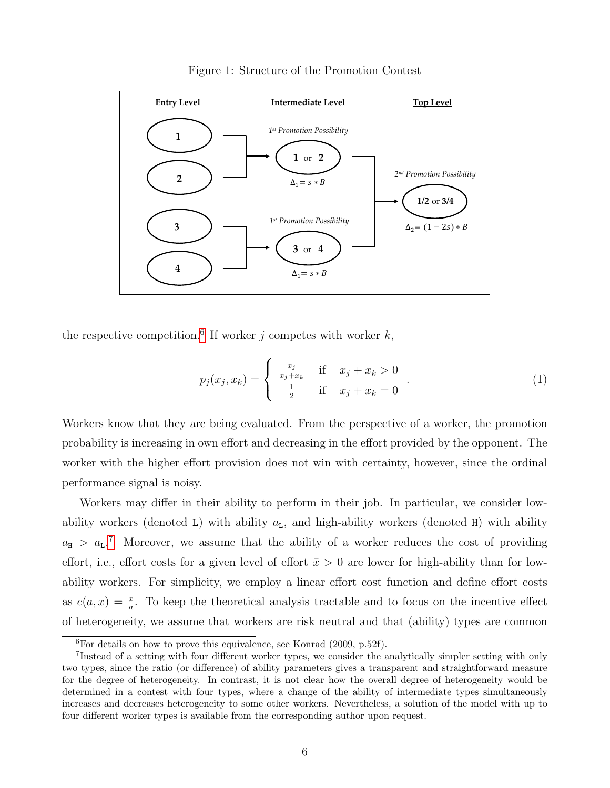

<span id="page-8-0"></span>Figure 1: Structure of the Promotion Contest

the respective competition.<sup>[6](#page--1-0)</sup> If worker j competes with worker  $k$ ,

$$
p_j(x_j, x_k) = \begin{cases} \frac{x_j}{x_j + x_k} & \text{if } x_j + x_k > 0\\ \frac{1}{2} & \text{if } x_j + x_k = 0 \end{cases} \tag{1}
$$

Workers know that they are being evaluated. From the perspective of a worker, the promotion probability is increasing in own effort and decreasing in the effort provided by the opponent. The worker with the higher effort provision does not win with certainty, however, since the ordinal performance signal is noisy.

Workers may differ in their ability to perform in their job. In particular, we consider lowability workers (denoted L) with ability  $a<sub>L</sub>$ , and high-ability workers (denoted H) with ability  $a_{\rm H}$  >  $a_{\rm L}$ .<sup>[7](#page--1-0)</sup> Moreover, we assume that the ability of a worker reduces the cost of providing effort, i.e., effort costs for a given level of effort  $\bar{x} > 0$  are lower for high-ability than for lowability workers. For simplicity, we employ a linear effort cost function and define effort costs as  $c(a, x) = \frac{x}{a}$ . To keep the theoretical analysis tractable and to focus on the incentive effect of heterogeneity, we assume that workers are risk neutral and that (ability) types are common

 ${}^{6}$ For details on how to prove this equivalence, see Konrad (2009, p.52f).

<sup>7</sup> Instead of a setting with four different worker types, we consider the analytically simpler setting with only two types, since the ratio (or difference) of ability parameters gives a transparent and straightforward measure for the degree of heterogeneity. In contrast, it is not clear how the overall degree of heterogeneity would be determined in a contest with four types, where a change of the ability of intermediate types simultaneously increases and decreases heterogeneity to some other workers. Nevertheless, a solution of the model with up to four different worker types is available from the corresponding author upon request.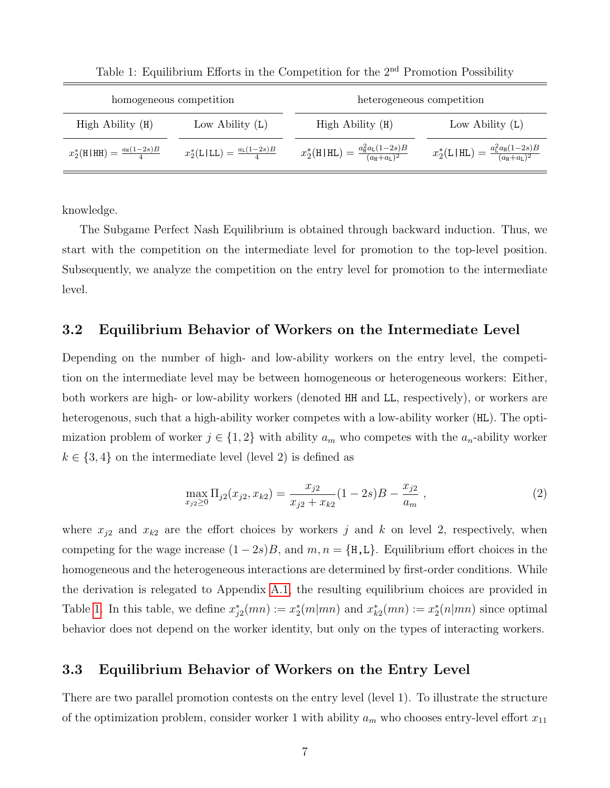| homogeneous competition                       |                                                                                                                                                                                                                                                                                                                                                                                                                                      | heterogeneous competition                               |                                                       |
|-----------------------------------------------|--------------------------------------------------------------------------------------------------------------------------------------------------------------------------------------------------------------------------------------------------------------------------------------------------------------------------------------------------------------------------------------------------------------------------------------|---------------------------------------------------------|-------------------------------------------------------|
| High Ability (H)                              | Low Ability $(L)$                                                                                                                                                                                                                                                                                                                                                                                                                    | High Ability (H)                                        | Low Ability $(L)$                                     |
| $x_2^*$ (H HH) = $\frac{a_{\rm H}(1-2s)B}{4}$ | $x_2^*(\text{L}\text{\hspace{1.5pt}}\text{\hspace{1.5pt}}\text{\hspace{1.5pt}}\text{\hspace{1.5pt}}\text{\hspace{1.5pt}}\text{\hspace{1.5pt}}\text{\hspace{1.5pt}}\text{\hspace{1.5pt}}\text{\hspace{1.5pt}}\text{\hspace{1.5pt}}\text{\hspace{1.5pt}}\text{\hspace{1.5pt}}\text{\hspace{1.5pt}}\text{\hspace{1.5pt}}\text{\hspace{1.5pt}}\text{\hspace{1.5pt}}\text{\hspace{1.5pt}}\text{\hspace{1.5pt}}\text{\hspace{1.5pt}}\text$ | $x_2^*(H HL) = \frac{a_H^2 a_L (1-2s)B}{(a_H + a_L)^2}$ | $x_2^*(L HL) = \frac{a_L^2 a_H (1-2s)B}{(a_H+a_L)^2}$ |

<span id="page-9-0"></span>Table 1: Equilibrium Efforts in the Competition for the 2nd Promotion Possibility

knowledge.

The Subgame Perfect Nash Equilibrium is obtained through backward induction. Thus, we start with the competition on the intermediate level for promotion to the top-level position. Subsequently, we analyze the competition on the entry level for promotion to the intermediate level.

### 3.2 Equilibrium Behavior of Workers on the Intermediate Level

Depending on the number of high- and low-ability workers on the entry level, the competition on the intermediate level may be between homogeneous or heterogeneous workers: Either, both workers are high- or low-ability workers (denoted HH and LL, respectively), or workers are heterogenous, such that a high-ability worker competes with a low-ability worker (HL). The optimization problem of worker  $j \in \{1,2\}$  with ability  $a_m$  who competes with the  $a_n$ -ability worker  $k \in \{3, 4\}$  on the intermediate level (level 2) is defined as

$$
\max_{x_{j2} \ge 0} \Pi_{j2}(x_{j2}, x_{k2}) = \frac{x_{j2}}{x_{j2} + x_{k2}} (1 - 2s)B - \frac{x_{j2}}{a_m} ,
$$
\n(2)

where  $x_{j2}$  and  $x_{k2}$  are the effort choices by workers j and k on level 2, respectively, when competing for the wage increase  $(1-2s)B$ , and  $m, n = \{H, L\}$ . Equilibrium effort choices in the homogeneous and the heterogeneous interactions are determined by first-order conditions. While the derivation is relegated to Appendix [A.1,](#page-34-0) the resulting equilibrium choices are provided in Table [1.](#page-9-0) In this table, we define  $x_{j2}^*(mn) := x_2^*(m|mn)$  and  $x_{k2}^*(mn) := x_2^*(n|mn)$  since optimal behavior does not depend on the worker identity, but only on the types of interacting workers.

### 3.3 Equilibrium Behavior of Workers on the Entry Level

There are two parallel promotion contests on the entry level (level 1). To illustrate the structure of the optimization problem, consider worker 1 with ability  $a_m$  who chooses entry-level effort  $x_{11}$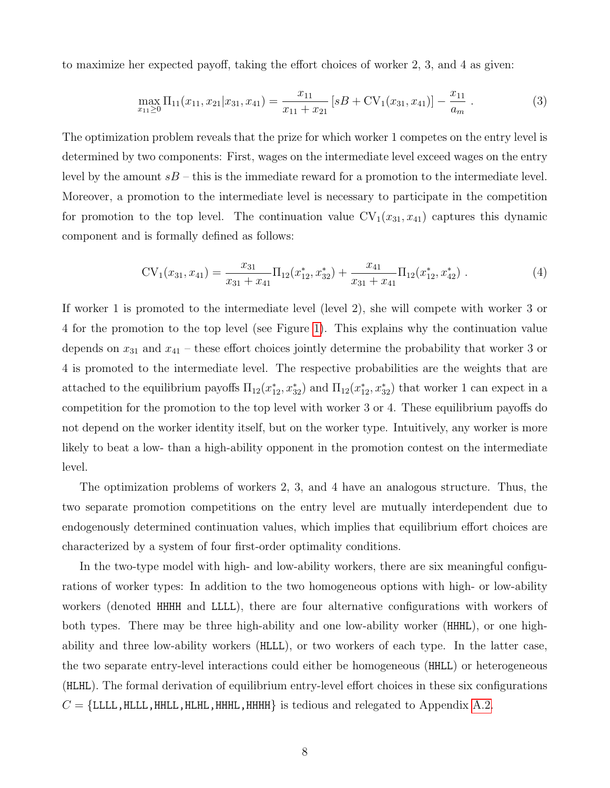to maximize her expected payoff, taking the effort choices of worker 2, 3, and 4 as given:

$$
\max_{x_{11}\geq 0} \Pi_{11}(x_{11}, x_{21}|x_{31}, x_{41}) = \frac{x_{11}}{x_{11} + x_{21}} \left[ sB + \text{CV}_1(x_{31}, x_{41}) \right] - \frac{x_{11}}{a_m} \,. \tag{3}
$$

The optimization problem reveals that the prize for which worker 1 competes on the entry level is determined by two components: First, wages on the intermediate level exceed wages on the entry level by the amount  $sB$  – this is the immediate reward for a promotion to the intermediate level. Moreover, a promotion to the intermediate level is necessary to participate in the competition for promotion to the top level. The continuation value  $CV_1(x_{31}, x_{41})$  captures this dynamic component and is formally defined as follows:

$$
CV_1(x_{31}, x_{41}) = \frac{x_{31}}{x_{31} + x_{41}} \Pi_{12}(x_{12}^*, x_{32}^*) + \frac{x_{41}}{x_{31} + x_{41}} \Pi_{12}(x_{12}^*, x_{42}^*)
$$
 (4)

If worker 1 is promoted to the intermediate level (level 2), she will compete with worker 3 or 4 for the promotion to the top level (see Figure [1\)](#page-8-0). This explains why the continuation value depends on  $x_{31}$  and  $x_{41}$  – these effort choices jointly determine the probability that worker 3 or 4 is promoted to the intermediate level. The respective probabilities are the weights that are attached to the equilibrium payoffs  $\Pi_{12}(x_{12}^*, x_{32}^*)$  and  $\Pi_{12}(x_{12}^*, x_{32}^*)$  that worker 1 can expect in a competition for the promotion to the top level with worker 3 or 4. These equilibrium payoffs do not depend on the worker identity itself, but on the worker type. Intuitively, any worker is more likely to beat a low- than a high-ability opponent in the promotion contest on the intermediate level.

The optimization problems of workers 2, 3, and 4 have an analogous structure. Thus, the two separate promotion competitions on the entry level are mutually interdependent due to endogenously determined continuation values, which implies that equilibrium effort choices are characterized by a system of four first-order optimality conditions.

In the two-type model with high- and low-ability workers, there are six meaningful configurations of worker types: In addition to the two homogeneous options with high- or low-ability workers (denoted HHHH and LLLL), there are four alternative configurations with workers of both types. There may be three high-ability and one low-ability worker (HHHL), or one highability and three low-ability workers (HLLL), or two workers of each type. In the latter case, the two separate entry-level interactions could either be homogeneous (HHLL) or heterogeneous (HLHL). The formal derivation of equilibrium entry-level effort choices in these six configurations  $C = \{LLLL, HLLL, HHLL, HHHL, HHHH}\}$  is tedious and relegated to Appendix [A.2.](#page-35-0)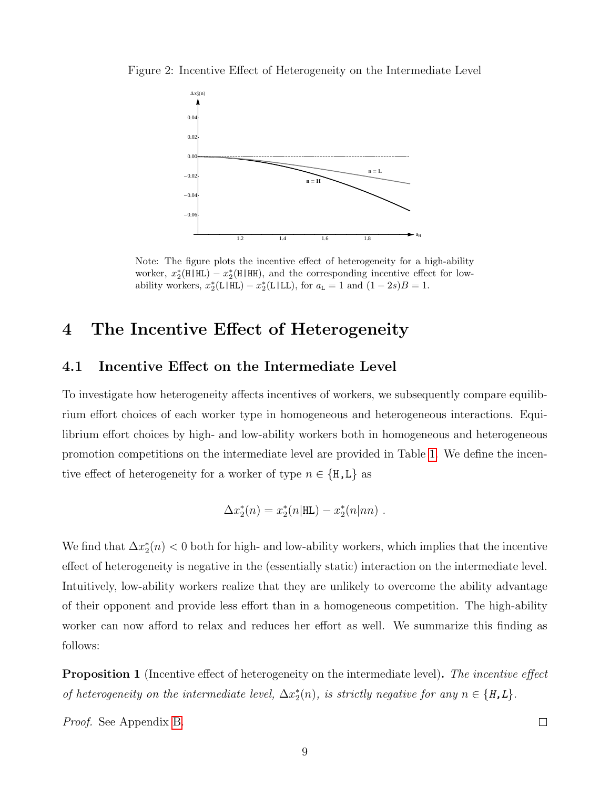Figure 2: Incentive Effect of Heterogeneity on the Intermediate Level

<span id="page-11-1"></span>

Note: The figure plots the incentive effect of heterogeneity for a high-ability worker,  $x_2^*(\text{H}|\text{HL}) - x_2^*(\text{H}|\text{HH})$ , and the corresponding incentive effect for lowability workers,  $x_2^*(L|HL) - x_2^*(L|LL)$ , for  $a_L = 1$  and  $(1 - 2s)B = 1$ .

### <span id="page-11-0"></span>4 The Incentive Effect of Heterogeneity

### <span id="page-11-3"></span>4.1 Incentive Effect on the Intermediate Level

To investigate how heterogeneity affects incentives of workers, we subsequently compare equilibrium effort choices of each worker type in homogeneous and heterogeneous interactions. Equilibrium effort choices by high- and low-ability workers both in homogeneous and heterogeneous promotion competitions on the intermediate level are provided in Table [1.](#page-9-0) We define the incentive effect of heterogeneity for a worker of type  $n \in \{H, L\}$  as

$$
\Delta x_2^*(n)=x_2^*(n|\mathrm{HL})-x_2^*(n|nn) \ .
$$

We find that  $\Delta x_2^*(n) < 0$  both for high- and low-ability workers, which implies that the incentive effect of heterogeneity is negative in the (essentially static) interaction on the intermediate level. Intuitively, low-ability workers realize that they are unlikely to overcome the ability advantage of their opponent and provide less effort than in a homogeneous competition. The high-ability worker can now afford to relax and reduces her effort as well. We summarize this finding as follows:

<span id="page-11-2"></span>**Proposition 1** (Incentive effect of heterogeneity on the intermediate level). The incentive effect of heterogeneity on the intermediate level,  $\Delta x_2^*(n)$ , is strictly negative for any  $n \in \{H, L\}$ .

Proof. See Appendix [B.](#page-41-0)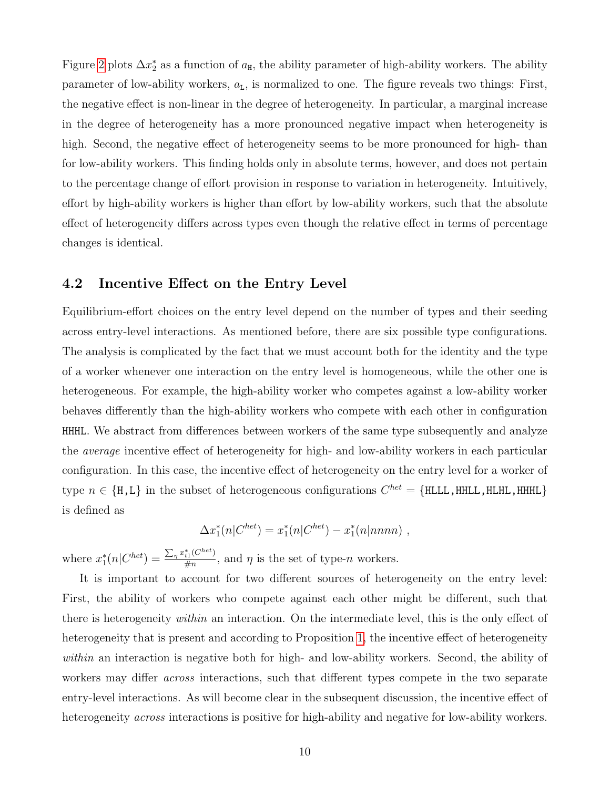Figure [2](#page-11-1) plots  $\Delta x_2^*$  as a function of  $a_{\text{H}}$ , the ability parameter of high-ability workers. The ability parameter of low-ability workers,  $a<sub>L</sub>$ , is normalized to one. The figure reveals two things: First, the negative effect is non-linear in the degree of heterogeneity. In particular, a marginal increase in the degree of heterogeneity has a more pronounced negative impact when heterogeneity is high. Second, the negative effect of heterogeneity seems to be more pronounced for high- than for low-ability workers. This finding holds only in absolute terms, however, and does not pertain to the percentage change of effort provision in response to variation in heterogeneity. Intuitively, effort by high-ability workers is higher than effort by low-ability workers, such that the absolute effect of heterogeneity differs across types even though the relative effect in terms of percentage changes is identical.

#### <span id="page-12-0"></span>4.2 Incentive Effect on the Entry Level

Equilibrium-effort choices on the entry level depend on the number of types and their seeding across entry-level interactions. As mentioned before, there are six possible type configurations. The analysis is complicated by the fact that we must account both for the identity and the type of a worker whenever one interaction on the entry level is homogeneous, while the other one is heterogeneous. For example, the high-ability worker who competes against a low-ability worker behaves differently than the high-ability workers who compete with each other in configuration HHHL. We abstract from differences between workers of the same type subsequently and analyze the average incentive effect of heterogeneity for high- and low-ability workers in each particular configuration. In this case, the incentive effect of heterogeneity on the entry level for a worker of type  $n \in \{H, L\}$  in the subset of heterogeneous configurations  $C^{het} = \{HLLL, HHLL, HHHL\}$ is defined as

$$
\Delta x_1^*(n|C^{het}) = x_1^*(n|C^{het}) - x_1^*(n|nnnn),
$$

where  $x_1^*(n|C^{het}) = \frac{\sum_{\eta} x_{t1}^*(C^{het})}{\#n}$  $\frac{H_1(C)}{\#n}$ , and  $\eta$  is the set of type-n workers.

It is important to account for two different sources of heterogeneity on the entry level: First, the ability of workers who compete against each other might be different, such that there is heterogeneity within an interaction. On the intermediate level, this is the only effect of heterogeneity that is present and according to Proposition [1,](#page-11-2) the incentive effect of heterogeneity within an interaction is negative both for high- and low-ability workers. Second, the ability of workers may differ *across* interactions, such that different types compete in the two separate entry-level interactions. As will become clear in the subsequent discussion, the incentive effect of heterogeneity *across* interactions is positive for high-ability and negative for low-ability workers.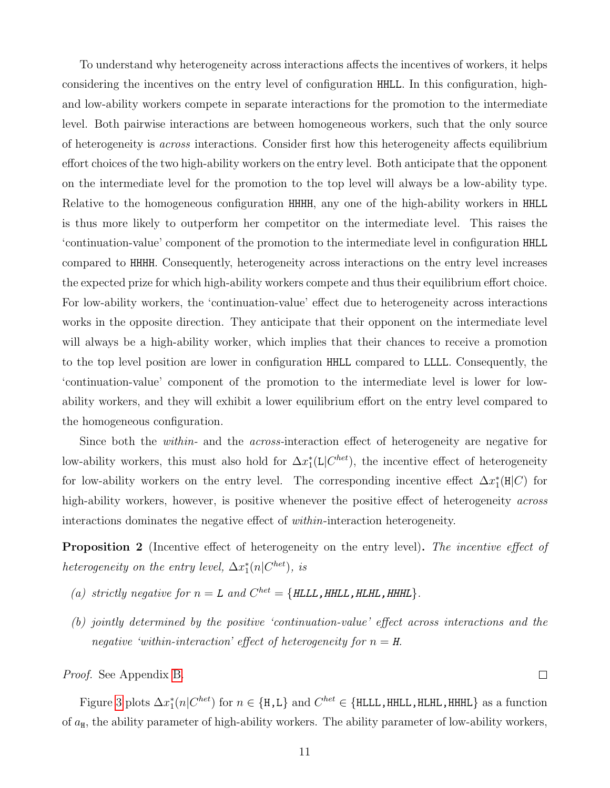To understand why heterogeneity across interactions affects the incentives of workers, it helps considering the incentives on the entry level of configuration HHLL. In this configuration, highand low-ability workers compete in separate interactions for the promotion to the intermediate level. Both pairwise interactions are between homogeneous workers, such that the only source of heterogeneity is across interactions. Consider first how this heterogeneity affects equilibrium effort choices of the two high-ability workers on the entry level. Both anticipate that the opponent on the intermediate level for the promotion to the top level will always be a low-ability type. Relative to the homogeneous configuration HHHH, any one of the high-ability workers in HHLL is thus more likely to outperform her competitor on the intermediate level. This raises the 'continuation-value' component of the promotion to the intermediate level in configuration HHLL compared to HHHH. Consequently, heterogeneity across interactions on the entry level increases the expected prize for which high-ability workers compete and thus their equilibrium effort choice. For low-ability workers, the 'continuation-value' effect due to heterogeneity across interactions works in the opposite direction. They anticipate that their opponent on the intermediate level will always be a high-ability worker, which implies that their chances to receive a promotion to the top level position are lower in configuration HHLL compared to LLLL. Consequently, the 'continuation-value' component of the promotion to the intermediate level is lower for lowability workers, and they will exhibit a lower equilibrium effort on the entry level compared to the homogeneous configuration.

Since both the within- and the across-interaction effect of heterogeneity are negative for low-ability workers, this must also hold for  $\Delta x_1^*$ (L| $C^{het}$ ), the incentive effect of heterogeneity for low-ability workers on the entry level. The corresponding incentive effect  $\Delta x_1^*(H|C)$  for high-ability workers, however, is positive whenever the positive effect of heterogeneity *across* interactions dominates the negative effect of within-interaction heterogeneity.

<span id="page-13-0"></span>**Proposition 2** (Incentive effect of heterogeneity on the entry level). The incentive effect of heterogeneity on the entry level,  $\Delta x_1^*(n|C^{het})$ , is

- (a) strictly negative for  $n = L$  and  $C^{het} = \{HLLL, HHLL, HLHL, HHHL\}.$
- (b) jointly determined by the positive 'continuation-value' effect across interactions and the negative 'within-interaction' effect of heterogeneity for  $n = H$ .

Proof. See Appendix [B.](#page-41-0)

Figure [3](#page-14-0) plots  $\Delta x_1^*(n|C^{het})$  for  $n \in \{H,L\}$  and  $C^{het} \in \{HLLL, HHLL, HHHL\}$  as a function of  $a_H$ , the ability parameter of high-ability workers. The ability parameter of low-ability workers,

 $\Box$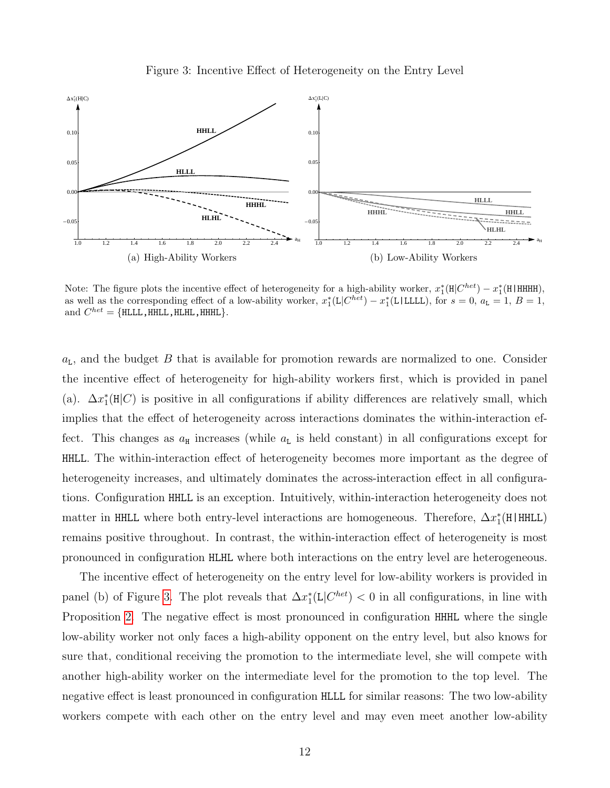<span id="page-14-0"></span>



Note: The figure plots the incentive effect of heterogeneity for a high-ability worker,  $x_1^* (H|C^{het}) - x_1^* (H|HHH)$ , as well as the corresponding effect of a low-ability worker,  $x_1^*(L|C^{het}) - x_1^*(L|LLLL)$ , for  $s = 0$ ,  $a_L = 1$ ,  $B = 1$ , and  $C^{het} = \{\text{HLLL}, \text{HHLL}, \text{HLHL}, \text{HHHL}\}.$ 

 $a_L$ , and the budget B that is available for promotion rewards are normalized to one. Consider the incentive effect of heterogeneity for high-ability workers first, which is provided in panel (a).  $\Delta x_1^*(H|C)$  is positive in all configurations if ability differences are relatively small, which implies that the effect of heterogeneity across interactions dominates the within-interaction effect. This changes as  $a_{\rm H}$  increases (while  $a_{\rm L}$  is held constant) in all configurations except for HHLL. The within-interaction effect of heterogeneity becomes more important as the degree of heterogeneity increases, and ultimately dominates the across-interaction effect in all configurations. Configuration HHLL is an exception. Intuitively, within-interaction heterogeneity does not matter in HHLL where both entry-level interactions are homogeneous. Therefore,  $\Delta x_1^*$ (H|HHLL) remains positive throughout. In contrast, the within-interaction effect of heterogeneity is most pronounced in configuration HLHL where both interactions on the entry level are heterogeneous.

The incentive effect of heterogeneity on the entry level for low-ability workers is provided in panel (b) of Figure [3.](#page-14-0) The plot reveals that  $\Delta x_1^*(L|C^{het}) < 0$  in all configurations, in line with Proposition [2.](#page-13-0) The negative effect is most pronounced in configuration HHHL where the single low-ability worker not only faces a high-ability opponent on the entry level, but also knows for sure that, conditional receiving the promotion to the intermediate level, she will compete with another high-ability worker on the intermediate level for the promotion to the top level. The negative effect is least pronounced in configuration HLLL for similar reasons: The two low-ability workers compete with each other on the entry level and may even meet another low-ability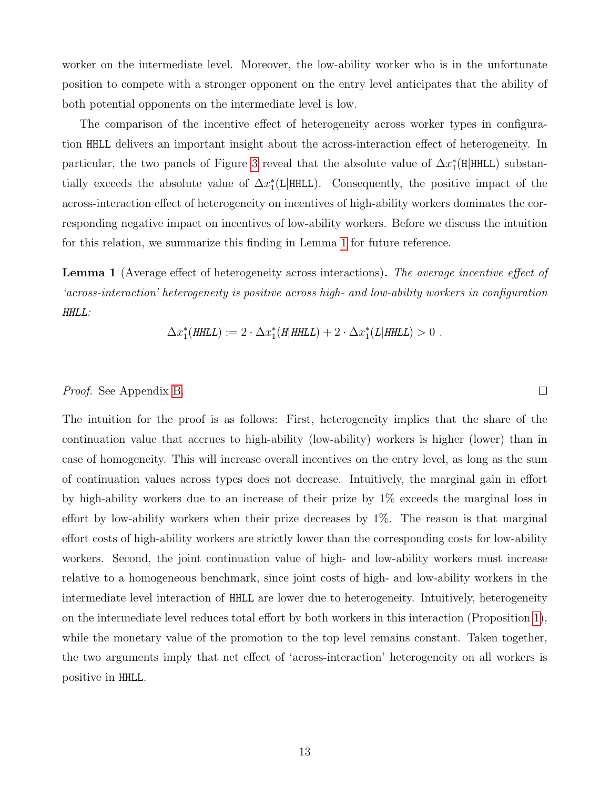worker on the intermediate level. Moreover, the low-ability worker who is in the unfortunate position to compete with a stronger opponent on the entry level anticipates that the ability of both potential opponents on the intermediate level is low.

The comparison of the incentive effect of heterogeneity across worker types in configuration HHLL delivers an important insight about the across-interaction effect of heterogeneity. In particular, the two panels of Figure [3](#page-14-0) reveal that the absolute value of  $\Delta x_1^*$ (H|HHLL) substantially exceeds the absolute value of  $\Delta x_1^*$ (L|HHLL). Consequently, the positive impact of the across-interaction effect of heterogeneity on incentives of high-ability workers dominates the corresponding negative impact on incentives of low-ability workers. Before we discuss the intuition for this relation, we summarize this finding in Lemma [1](#page-15-0) for future reference.

<span id="page-15-0"></span>**Lemma 1** (Average effect of heterogeneity across interactions). The average incentive effect of 'across-interaction' heterogeneity is positive across high- and low-ability workers in configuration HHLL:

$$
\Delta x_1^*(\text{HHLL}) := 2 \cdot \Delta x_1^*(\text{H}|\text{HHLL}) + 2 \cdot \Delta x_1^*(\text{L}|\text{HHLL}) > 0.
$$

 $\Box$ 

#### Proof. See Appendix [B.](#page-41-0)

The intuition for the proof is as follows: First, heterogeneity implies that the share of the continuation value that accrues to high-ability (low-ability) workers is higher (lower) than in case of homogeneity. This will increase overall incentives on the entry level, as long as the sum of continuation values across types does not decrease. Intuitively, the marginal gain in effort by high-ability workers due to an increase of their prize by 1% exceeds the marginal loss in effort by low-ability workers when their prize decreases by 1%. The reason is that marginal effort costs of high-ability workers are strictly lower than the corresponding costs for low-ability workers. Second, the joint continuation value of high- and low-ability workers must increase relative to a homogeneous benchmark, since joint costs of high- and low-ability workers in the intermediate level interaction of HHLL are lower due to heterogeneity. Intuitively, heterogeneity on the intermediate level reduces total effort by both workers in this interaction (Proposition [1\)](#page-11-2), while the monetary value of the promotion to the top level remains constant. Taken together, the two arguments imply that net effect of 'across-interaction' heterogeneity on all workers is positive in HHLL.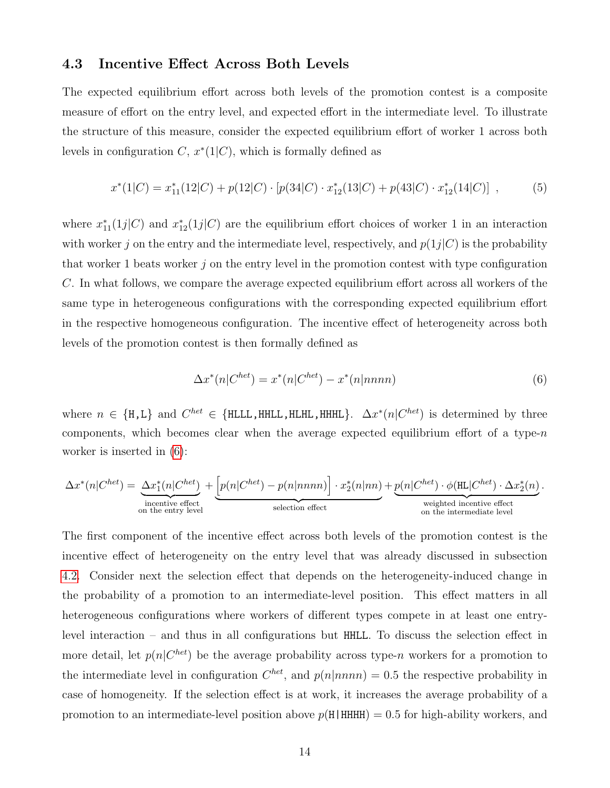#### 4.3 Incentive Effect Across Both Levels

The expected equilibrium effort across both levels of the promotion contest is a composite measure of effort on the entry level, and expected effort in the intermediate level. To illustrate the structure of this measure, consider the expected equilibrium effort of worker 1 across both levels in configuration  $C, x^*(1|C)$ , which is formally defined as

$$
x^*(1|C) = x_{11}^*(12|C) + p(12|C) \cdot [p(34|C) \cdot x_{12}^*(13|C) + p(43|C) \cdot x_{12}^*(14|C)] , \qquad (5)
$$

where  $x_{11}^*(1j|C)$  and  $x_{12}^*(1j|C)$  are the equilibrium effort choices of worker 1 in an interaction with worker j on the entry and the intermediate level, respectively, and  $p(1j|C)$  is the probability that worker 1 beats worker  $j$  on the entry level in the promotion contest with type configuration C. In what follows, we compare the average expected equilibrium effort across all workers of the same type in heterogeneous configurations with the corresponding expected equilibrium effort in the respective homogeneous configuration. The incentive effect of heterogeneity across both levels of the promotion contest is then formally defined as

<span id="page-16-0"></span>
$$
\Delta x^*(n|C^{het}) = x^*(n|C^{het}) - x^*(n|nnnn)
$$
\n(6)

where  $n \in \{H,L\}$  and  $C^{het} \in \{HLLL, HHLL, HHHL, HHHL\}$ .  $\Delta x^*(n|C^{het})$  is determined by three components, which becomes clear when the average expected equilibrium effort of a type- $n$ worker is inserted in [\(6\)](#page-16-0):

$$
\Delta x^*(n|C^{het}) = \underbrace{\Delta x_1^*(n|C^{het})}_{\text{incentive effect}} + \underbrace{\left[p(n|C^{het}) - p(n|nnnn)\right] \cdot x_2^*(n|nn)}_{\text{selection effect}} + \underbrace{p(n|C^{het}) \cdot \phi(\text{HL}|C^{het}) \cdot \Delta x_2^*(n)}_{\text{weighted incentive effect}}.
$$

The first component of the incentive effect across both levels of the promotion contest is the incentive effect of heterogeneity on the entry level that was already discussed in subsection [4.2.](#page-12-0) Consider next the selection effect that depends on the heterogeneity-induced change in the probability of a promotion to an intermediate-level position. This effect matters in all heterogeneous configurations where workers of different types compete in at least one entrylevel interaction – and thus in all configurations but HHLL. To discuss the selection effect in more detail, let  $p(n|C^{het})$  be the average probability across type-n workers for a promotion to the intermediate level in configuration  $C^{het}$ , and  $p(n|nnnn) = 0.5$  the respective probability in case of homogeneity. If the selection effect is at work, it increases the average probability of a promotion to an intermediate-level position above  $p(H|HHHH) = 0.5$  for high-ability workers, and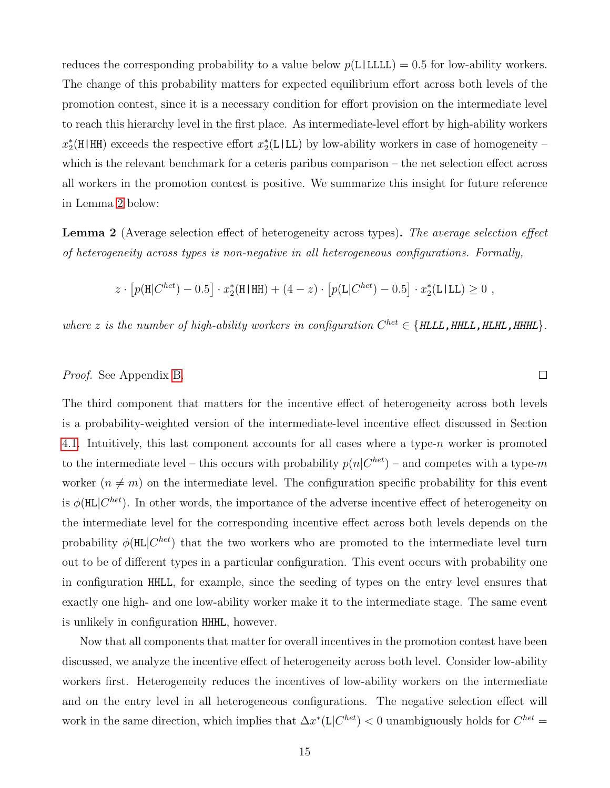reduces the corresponding probability to a value below  $p(L|LLL) = 0.5$  for low-ability workers. The change of this probability matters for expected equilibrium effort across both levels of the promotion contest, since it is a necessary condition for effort provision on the intermediate level to reach this hierarchy level in the first place. As intermediate-level effort by high-ability workers  $x_2^*(H|HH)$  exceeds the respective effort  $x_2^*(L|LL)$  by low-ability workers in case of homogeneity – which is the relevant benchmark for a ceteris paribus comparison – the net selection effect across all workers in the promotion contest is positive. We summarize this insight for future reference in Lemma [2](#page-17-0) below:

<span id="page-17-0"></span>Lemma 2 (Average selection effect of heterogeneity across types). The average selection effect of heterogeneity across types is non-negative in all heterogeneous configurations. Formally,

$$
z \cdot [p(H|C^{het}) - 0.5] \cdot x_2^*(H|HH) + (4 - z) \cdot [p(L|C^{het}) - 0.5] \cdot x_2^*(L|LL) \ge 0,
$$

where z is the number of high-ability workers in configuration  $C^{het} \in \{HLLL, HHLL, HHHL, HHHL\}$ .

 $\Box$ 

#### Proof. See Appendix [B.](#page-41-0)

The third component that matters for the incentive effect of heterogeneity across both levels is a probability-weighted version of the intermediate-level incentive effect discussed in Section [4.1.](#page-11-3) Intuitively, this last component accounts for all cases where a type- $n$  worker is promoted to the intermediate level – this occurs with probability  $p(n|C^{het})$  – and competes with a type-m worker  $(n \neq m)$  on the intermediate level. The configuration specific probability for this event is  $\phi(HL|C^{het})$ . In other words, the importance of the adverse incentive effect of heterogeneity on the intermediate level for the corresponding incentive effect across both levels depends on the probability  $\phi(HL|C^{het})$  that the two workers who are promoted to the intermediate level turn out to be of different types in a particular configuration. This event occurs with probability one in configuration HHLL, for example, since the seeding of types on the entry level ensures that exactly one high- and one low-ability worker make it to the intermediate stage. The same event is unlikely in configuration HHHL, however.

Now that all components that matter for overall incentives in the promotion contest have been discussed, we analyze the incentive effect of heterogeneity across both level. Consider low-ability workers first. Heterogeneity reduces the incentives of low-ability workers on the intermediate and on the entry level in all heterogeneous configurations. The negative selection effect will work in the same direction, which implies that  $\Delta x^*$ (L| $C^{het}$ ) < 0 unambiguously holds for  $C^{het}$  =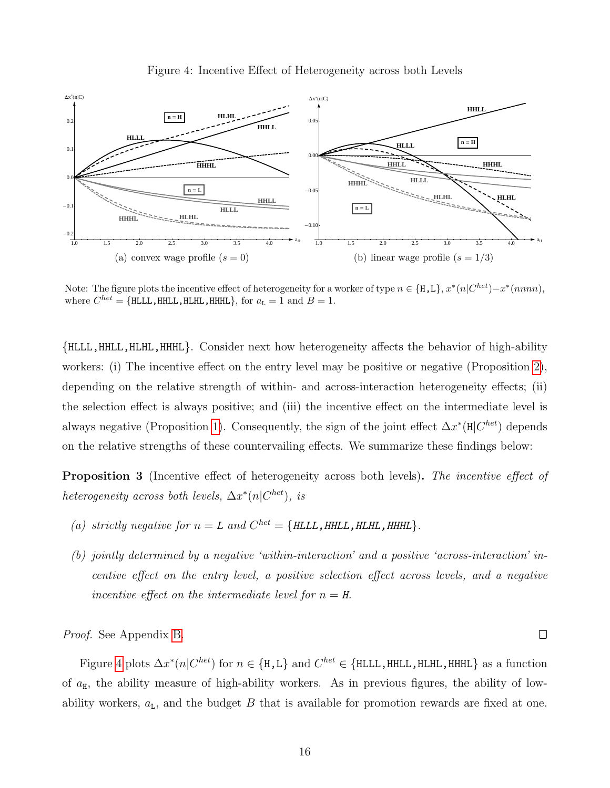<span id="page-18-0"></span>



Note: The figure plots the incentive effect of heterogeneity for a worker of type  $n \in \{\text{H}, \text{L}\}, x^*(n|C^{het}) - x^*(nnnn)$ , where  $C^{het} = \{ \text{HLLL}, \text{HHL}, \text{HLHL}, \text{HHHL} \},$  for  $a_{L} = 1$  and  $B = 1$ .

{HLLL,HHLL,HLHL,HHHL}. Consider next how heterogeneity affects the behavior of high-ability workers: (i) The incentive effect on the entry level may be positive or negative (Proposition [2\)](#page-13-0), depending on the relative strength of within- and across-interaction heterogeneity effects; (ii) the selection effect is always positive; and (iii) the incentive effect on the intermediate level is always negative (Proposition [1\)](#page-11-2). Consequently, the sign of the joint effect  $\Delta x^*(H|C^{het})$  depends on the relative strengths of these countervailing effects. We summarize these findings below:

<span id="page-18-1"></span>**Proposition 3** (Incentive effect of heterogeneity across both levels). The incentive effect of heterogeneity across both levels,  $\Delta x^*(n|C^{het})$ , is

- (a) strictly negative for  $n = L$  and  $C^{het} = \{HLLL, HHLL, HLHL, HHHL\}.$
- (b) jointly determined by a negative 'within-interaction' and a positive 'across-interaction' incentive effect on the entry level, a positive selection effect across levels, and a negative incentive effect on the intermediate level for  $n = H$ .

 $\Box$ 

Proof. See Appendix [B.](#page-41-0)

Figure [4](#page-18-0) plots  $\Delta x^*(n|C^{het})$  for  $n \in \{H,L\}$  and  $C^{het} \in \{HLLL, HHLL, HHHL, HHHL\}$  as a function of  $a_{H}$ , the ability measure of high-ability workers. As in previous figures, the ability of lowability workers,  $a_{\text{L}}$ , and the budget B that is available for promotion rewards are fixed at one.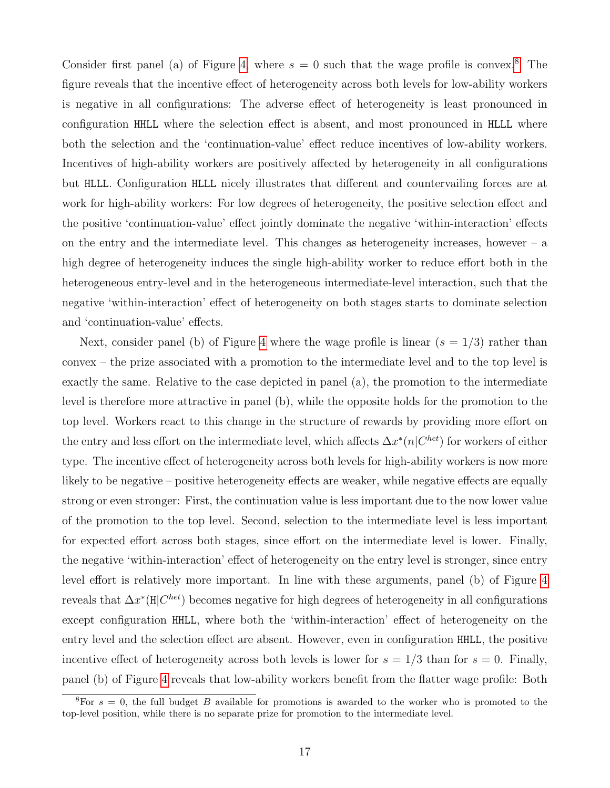Consider first panel (a) of Figure [4,](#page-18-0) where  $s = 0$  such that the wage profile is convex.<sup>[8](#page--1-0)</sup> The figure reveals that the incentive effect of heterogeneity across both levels for low-ability workers is negative in all configurations: The adverse effect of heterogeneity is least pronounced in configuration HHLL where the selection effect is absent, and most pronounced in HLLL where both the selection and the 'continuation-value' effect reduce incentives of low-ability workers. Incentives of high-ability workers are positively affected by heterogeneity in all configurations but HLLL. Configuration HLLL nicely illustrates that different and countervailing forces are at work for high-ability workers: For low degrees of heterogeneity, the positive selection effect and the positive 'continuation-value' effect jointly dominate the negative 'within-interaction' effects on the entry and the intermediate level. This changes as heterogeneity increases, however  $-$  a high degree of heterogeneity induces the single high-ability worker to reduce effort both in the heterogeneous entry-level and in the heterogeneous intermediate-level interaction, such that the negative 'within-interaction' effect of heterogeneity on both stages starts to dominate selection and 'continuation-value' effects.

Next, consider panel (b) of Figure [4](#page-18-0) where the wage profile is linear  $(s = 1/3)$  rather than convex – the prize associated with a promotion to the intermediate level and to the top level is exactly the same. Relative to the case depicted in panel (a), the promotion to the intermediate level is therefore more attractive in panel (b), while the opposite holds for the promotion to the top level. Workers react to this change in the structure of rewards by providing more effort on the entry and less effort on the intermediate level, which affects  $\Delta x^*(n|C^{het})$  for workers of either type. The incentive effect of heterogeneity across both levels for high-ability workers is now more likely to be negative – positive heterogeneity effects are weaker, while negative effects are equally strong or even stronger: First, the continuation value is less important due to the now lower value of the promotion to the top level. Second, selection to the intermediate level is less important for expected effort across both stages, since effort on the intermediate level is lower. Finally, the negative 'within-interaction' effect of heterogeneity on the entry level is stronger, since entry level effort is relatively more important. In line with these arguments, panel (b) of Figure [4](#page-18-0) reveals that  $\Delta x^*(\mathbf{H}|C^{het})$  becomes negative for high degrees of heterogeneity in all configurations except configuration HHLL, where both the 'within-interaction' effect of heterogeneity on the entry level and the selection effect are absent. However, even in configuration HHLL, the positive incentive effect of heterogeneity across both levels is lower for  $s = 1/3$  than for  $s = 0$ . Finally, panel (b) of Figure [4](#page-18-0) reveals that low-ability workers benefit from the flatter wage profile: Both

<sup>&</sup>lt;sup>8</sup>For  $s = 0$ , the full budget B available for promotions is awarded to the worker who is promoted to the top-level position, while there is no separate prize for promotion to the intermediate level.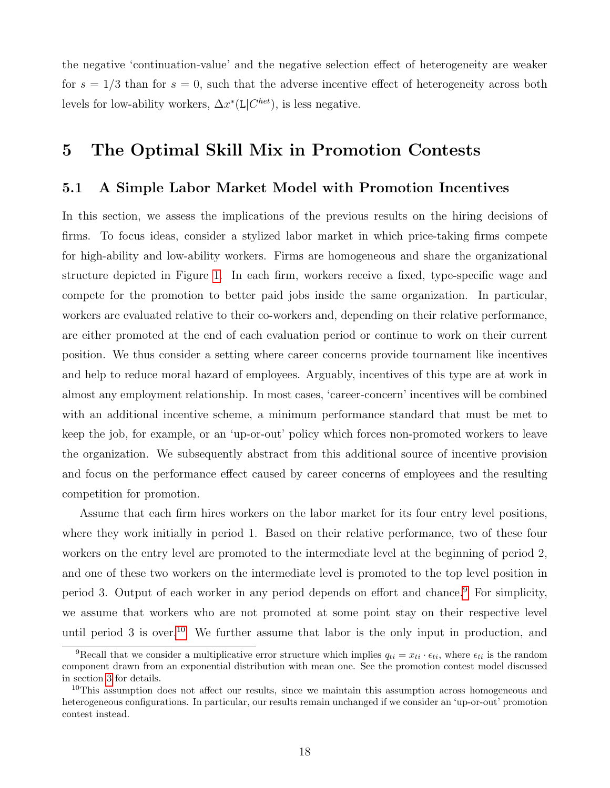the negative 'continuation-value' and the negative selection effect of heterogeneity are weaker for  $s = 1/3$  than for  $s = 0$ , such that the adverse incentive effect of heterogeneity across both levels for low-ability workers,  $\Delta x^*$ (L| $C^{het}$ ), is less negative.

### <span id="page-20-0"></span>5 The Optimal Skill Mix in Promotion Contests

#### 5.1 A Simple Labor Market Model with Promotion Incentives

In this section, we assess the implications of the previous results on the hiring decisions of firms. To focus ideas, consider a stylized labor market in which price-taking firms compete for high-ability and low-ability workers. Firms are homogeneous and share the organizational structure depicted in Figure [1.](#page-8-0) In each firm, workers receive a fixed, type-specific wage and compete for the promotion to better paid jobs inside the same organization. In particular, workers are evaluated relative to their co-workers and, depending on their relative performance, are either promoted at the end of each evaluation period or continue to work on their current position. We thus consider a setting where career concerns provide tournament like incentives and help to reduce moral hazard of employees. Arguably, incentives of this type are at work in almost any employment relationship. In most cases, 'career-concern' incentives will be combined with an additional incentive scheme, a minimum performance standard that must be met to keep the job, for example, or an 'up-or-out' policy which forces non-promoted workers to leave the organization. We subsequently abstract from this additional source of incentive provision and focus on the performance effect caused by career concerns of employees and the resulting competition for promotion.

Assume that each firm hires workers on the labor market for its four entry level positions, where they work initially in period 1. Based on their relative performance, two of these four workers on the entry level are promoted to the intermediate level at the beginning of period 2, and one of these two workers on the intermediate level is promoted to the top level position in period 3. Output of each worker in any period depends on effort and chance.[9](#page--1-0) For simplicity, we assume that workers who are not promoted at some point stay on their respective level until period 3 is over.<sup>[10](#page--1-0)</sup> We further assume that labor is the only input in production, and

<sup>&</sup>lt;sup>9</sup>Recall that we consider a multiplicative error structure which implies  $q_{ti} = x_{ti} \cdot \epsilon_{ti}$ , where  $\epsilon_{ti}$  is the random component drawn from an exponential distribution with mean one. See the promotion contest model discussed in section [3](#page-7-0) for details.

<sup>&</sup>lt;sup>10</sup>This assumption does not affect our results, since we maintain this assumption across homogeneous and heterogeneous configurations. In particular, our results remain unchanged if we consider an 'up-or-out' promotion contest instead.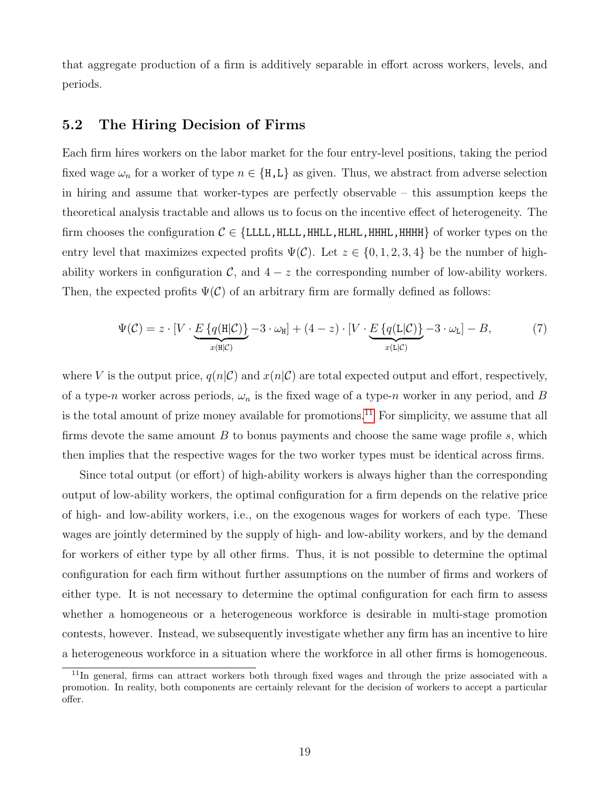that aggregate production of a firm is additively separable in effort across workers, levels, and periods.

#### 5.2 The Hiring Decision of Firms

Each firm hires workers on the labor market for the four entry-level positions, taking the period fixed wage  $\omega_n$  for a worker of type  $n \in \{H, L\}$  as given. Thus, we abstract from adverse selection in hiring and assume that worker-types are perfectly observable – this assumption keeps the theoretical analysis tractable and allows us to focus on the incentive effect of heterogeneity. The firm chooses the configuration  $C \in \{LLLL, HLLL, HHH, HHHL, HHHH\}$  of worker types on the entry level that maximizes expected profits  $\Psi(\mathcal{C})$ . Let  $z \in \{0, 1, 2, 3, 4\}$  be the number of highability workers in configuration  $\mathcal{C}$ , and  $4 - z$  the corresponding number of low-ability workers. Then, the expected profits  $\Psi(\mathcal{C})$  of an arbitrary firm are formally defined as follows:

<span id="page-21-0"></span>
$$
\Psi(\mathcal{C}) = z \cdot [V \cdot \underbrace{E \{q(\mathbf{H}|\mathcal{C})\}}_{x(\mathbf{H}|\mathcal{C})} - 3 \cdot \omega_{\mathbf{H}}] + (4 - z) \cdot [V \cdot \underbrace{E \{q(\mathbf{L}|\mathcal{C})\}}_{x(\mathbf{L}|\mathcal{C})} - 3 \cdot \omega_{\mathbf{L}}] - B,
$$
\n(7)

where V is the output price,  $q(n|\mathcal{C})$  and  $x(n|\mathcal{C})$  are total expected output and effort, respectively, of a type-n worker across periods,  $\omega_n$  is the fixed wage of a type-n worker in any period, and B is the total amount of prize money available for promotions.<sup>[11](#page--1-0)</sup> For simplicity, we assume that all firms devote the same amount  $B$  to bonus payments and choose the same wage profile  $s$ , which then implies that the respective wages for the two worker types must be identical across firms.

Since total output (or effort) of high-ability workers is always higher than the corresponding output of low-ability workers, the optimal configuration for a firm depends on the relative price of high- and low-ability workers, i.e., on the exogenous wages for workers of each type. These wages are jointly determined by the supply of high- and low-ability workers, and by the demand for workers of either type by all other firms. Thus, it is not possible to determine the optimal configuration for each firm without further assumptions on the number of firms and workers of either type. It is not necessary to determine the optimal configuration for each firm to assess whether a homogeneous or a heterogeneous workforce is desirable in multi-stage promotion contests, however. Instead, we subsequently investigate whether any firm has an incentive to hire a heterogeneous workforce in a situation where the workforce in all other firms is homogeneous.

<sup>&</sup>lt;sup>11</sup>In general, firms can attract workers both through fixed wages and through the prize associated with a promotion. In reality, both components are certainly relevant for the decision of workers to accept a particular offer.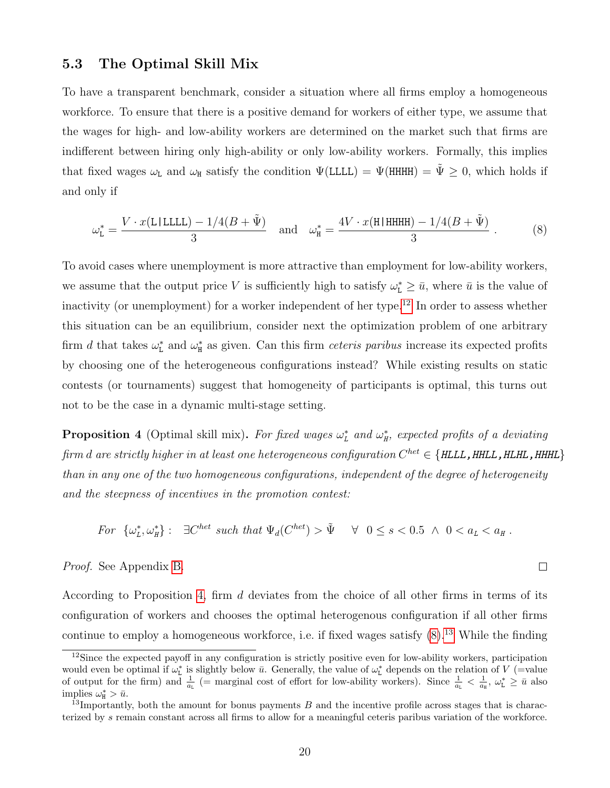#### 5.3 The Optimal Skill Mix

To have a transparent benchmark, consider a situation where all firms employ a homogeneous workforce. To ensure that there is a positive demand for workers of either type, we assume that the wages for high- and low-ability workers are determined on the market such that firms are indifferent between hiring only high-ability or only low-ability workers. Formally, this implies that fixed wages  $\omega_L$  and  $\omega_H$  satisfy the condition  $\Psi(LLLL) = \Psi(HHHH) = \tilde{\Psi} \geq 0$ , which holds if and only if

<span id="page-22-1"></span>
$$
\omega_{\mathsf{L}}^* = \frac{V \cdot x(\mathsf{L|LLLL}) - 1/4(B + \tilde{\Psi})}{3} \quad \text{and} \quad \omega_{\mathsf{H}}^* = \frac{4V \cdot x(\mathsf{H|HHHH}) - 1/4(B + \tilde{\Psi})}{3} \ . \tag{8}
$$

To avoid cases where unemployment is more attractive than employment for low-ability workers, we assume that the output price V is sufficiently high to satisfy  $\omega_{\text{L}}^* \geq \bar{u}$ , where  $\bar{u}$  is the value of inactivity (or unemployment) for a worker independent of her type.<sup>[12](#page--1-0)</sup> In order to assess whether this situation can be an equilibrium, consider next the optimization problem of one arbitrary firm d that takes  $\omega_{L}^{*}$  and  $\omega_{H}^{*}$  as given. Can this firm *ceteris paribus* increase its expected profits by choosing one of the heterogeneous configurations instead? While existing results on static contests (or tournaments) suggest that homogeneity of participants is optimal, this turns out not to be the case in a dynamic multi-stage setting.

<span id="page-22-0"></span>**Proposition 4** (Optimal skill mix). For fixed wages  $\omega_L^*$  and  $\omega_H^*$ , expected profits of a deviating firm  $d$  are strictly higher in at least one heterogeneous configuration  $C^{het} \in \{HLLL$  ,  $HHLL$  ,  $HHHL\}$ than in any one of the two homogeneous configurations, independent of the degree of heterogeneity and the steepness of incentives in the promotion contest:

For 
$$
\{\omega_L^*, \omega_H^*\}:
$$
  $\exists C^{het}$  such that  $\Psi_d(C^{het}) > \tilde{\Psi} \quad \forall \ 0 \le s < 0.5 \land 0 < a_L < a_H$ .

#### Proof. See Appendix [B.](#page-41-0)

According to Proposition [4,](#page-22-0) firm d deviates from the choice of all other firms in terms of its configuration of workers and chooses the optimal heterogenous configuration if all other firms continue to employ a homogeneous workforce, i.e. if fixed wages satisfy  $(8)$ .<sup>[13](#page--1-0)</sup> While the finding

 $\Box$ 

<sup>12</sup>Since the expected payoff in any configuration is strictly positive even for low-ability workers, participation would even be optimal if  $\omega_L^*$  is slightly below  $\bar{u}$ . Generally, the value of  $\omega_L^*$  depends on the relation of V (=value of output for the firm) and  $\frac{1}{a_L}$  (= marginal cost of effort for low-ability workers). Since  $\frac{1}{a_L} < \frac{1}{a_R}$ ,  $\omega_L^* \ge \bar{u}$  also implies  $\omega_{\text{H}}^* > \bar{u}$ .

<sup>&</sup>lt;sup>13</sup>Importantly, both the amount for bonus payments  $B$  and the incentive profile across stages that is characterized by s remain constant across all firms to allow for a meaningful ceteris paribus variation of the workforce.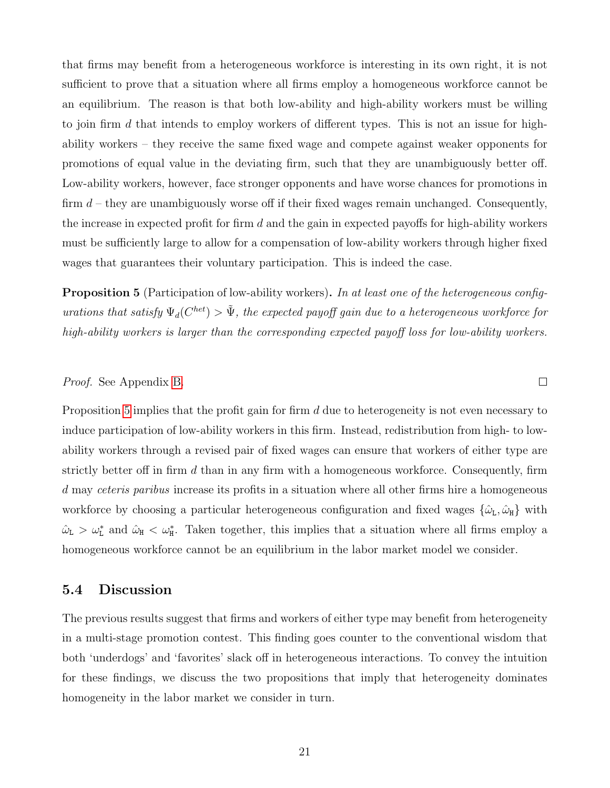that firms may benefit from a heterogeneous workforce is interesting in its own right, it is not sufficient to prove that a situation where all firms employ a homogeneous workforce cannot be an equilibrium. The reason is that both low-ability and high-ability workers must be willing to join firm  $d$  that intends to employ workers of different types. This is not an issue for highability workers – they receive the same fixed wage and compete against weaker opponents for promotions of equal value in the deviating firm, such that they are unambiguously better off. Low-ability workers, however, face stronger opponents and have worse chances for promotions in firm  $d$  – they are unambiguously worse off if their fixed wages remain unchanged. Consequently, the increase in expected profit for firm  $d$  and the gain in expected payoffs for high-ability workers must be sufficiently large to allow for a compensation of low-ability workers through higher fixed wages that guarantees their voluntary participation. This is indeed the case.

<span id="page-23-0"></span>**Proposition 5** (Participation of low-ability workers). In at least one of the heterogeneous configurations that satisfy  $\Psi_d(C^{het}) > \tilde{\Psi}$ , the expected payoff gain due to a heterogeneous workforce for high-ability workers is larger than the corresponding expected payoff loss for low-ability workers.

#### Proof. See Appendix [B.](#page-41-0)

Proposition [5](#page-23-0) implies that the profit gain for firm d due to heterogeneity is not even necessary to induce participation of low-ability workers in this firm. Instead, redistribution from high- to lowability workers through a revised pair of fixed wages can ensure that workers of either type are strictly better off in firm  $d$  than in any firm with a homogeneous workforce. Consequently, firm d may ceteris paribus increase its profits in a situation where all other firms hire a homogeneous workforce by choosing a particular heterogeneous configuration and fixed wages  $\{\hat{\omega}_{\tt L}, \hat{\omega}_{\tt H}\}$  with  $\hat{\omega}_{L} > \omega_{L}^{*}$  and  $\hat{\omega}_{H} < \omega_{H}^{*}$ . Taken together, this implies that a situation where all firms employ a homogeneous workforce cannot be an equilibrium in the labor market model we consider.

#### 5.4 Discussion

The previous results suggest that firms and workers of either type may benefit from heterogeneity in a multi-stage promotion contest. This finding goes counter to the conventional wisdom that both 'underdogs' and 'favorites' slack off in heterogeneous interactions. To convey the intuition for these findings, we discuss the two propositions that imply that heterogeneity dominates homogeneity in the labor market we consider in turn.

 $\Box$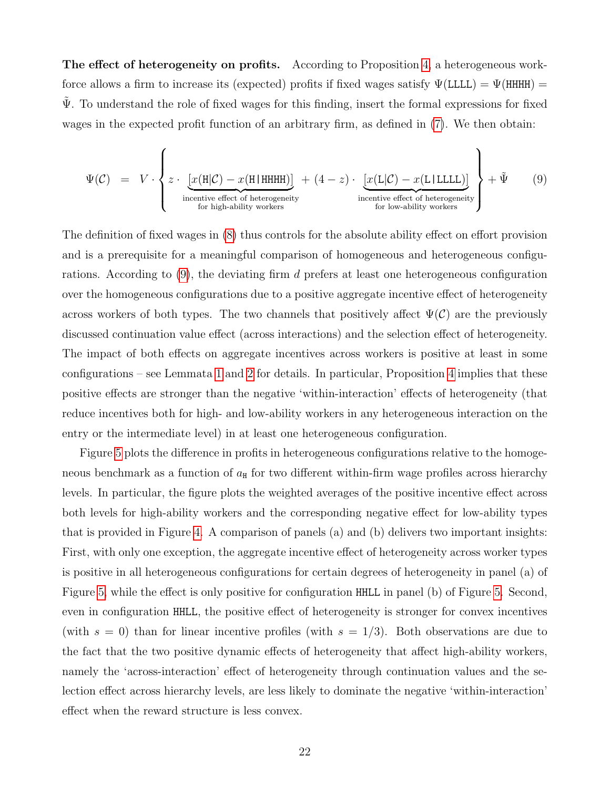The effect of heterogeneity on profits. According to Proposition [4,](#page-22-0) a heterogeneous workforce allows a firm to increase its (expected) profits if fixed wages satisfy  $\Psi$ (LLLL) =  $\Psi$ (HHHH) =  $\Psi$ . To understand the role of fixed wages for this finding, insert the formal expressions for fixed wages in the expected profit function of an arbitrary firm, as defined in [\(7\)](#page-21-0). We then obtain:

<span id="page-24-0"></span>
$$
\Psi(\mathcal{C}) = V \cdot \left\{ z \cdot \underbrace{[x(\mathbf{H}|\mathcal{C}) - x(\mathbf{H}|\mathbf{H}\mathbf{H}\mathbf{H})]}_{\text{incentive effect of heterogeneity}} + (4-z) \cdot \underbrace{[x(\mathbf{L}|\mathcal{C}) - x(\mathbf{L}|\mathbf{L}\mathbf{L}\mathbf{L})]}_{\text{incentive effect of heterogeneity}} \right\} + \tilde{\Psi}
$$
\n(9)

The definition of fixed wages in [\(8\)](#page-22-1) thus controls for the absolute ability effect on effort provision and is a prerequisite for a meaningful comparison of homogeneous and heterogeneous configurations. According to  $(9)$ , the deviating firm d prefers at least one heterogeneous configuration over the homogeneous configurations due to a positive aggregate incentive effect of heterogeneity across workers of both types. The two channels that positively affect  $\Psi(\mathcal{C})$  are the previously discussed continuation value effect (across interactions) and the selection effect of heterogeneity. The impact of both effects on aggregate incentives across workers is positive at least in some configurations – see Lemmata [1](#page-15-0) and [2](#page-17-0) for details. In particular, Proposition [4](#page-22-0) implies that these positive effects are stronger than the negative 'within-interaction' effects of heterogeneity (that reduce incentives both for high- and low-ability workers in any heterogeneous interaction on the entry or the intermediate level) in at least one heterogeneous configuration.

Figure [5](#page-25-0) plots the difference in profits in heterogeneous configurations relative to the homogeneous benchmark as a function of  $a_{\text{H}}$  for two different within-firm wage profiles across hierarchy levels. In particular, the figure plots the weighted averages of the positive incentive effect across both levels for high-ability workers and the corresponding negative effect for low-ability types that is provided in Figure [4.](#page-18-0) A comparison of panels (a) and (b) delivers two important insights: First, with only one exception, the aggregate incentive effect of heterogeneity across worker types is positive in all heterogeneous configurations for certain degrees of heterogeneity in panel (a) of Figure [5,](#page-25-0) while the effect is only positive for configuration HHLL in panel (b) of Figure [5.](#page-25-0) Second, even in configuration HHLL, the positive effect of heterogeneity is stronger for convex incentives (with  $s = 0$ ) than for linear incentive profiles (with  $s = 1/3$ ). Both observations are due to the fact that the two positive dynamic effects of heterogeneity that affect high-ability workers, namely the 'across-interaction' effect of heterogeneity through continuation values and the selection effect across hierarchy levels, are less likely to dominate the negative 'within-interaction' effect when the reward structure is less convex.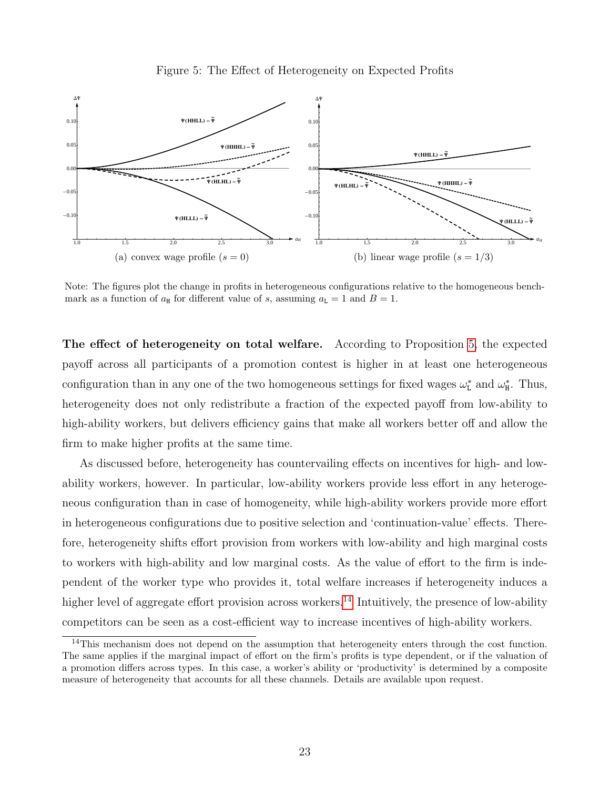<span id="page-25-0"></span>



Note: The figures plot the change in profits in heterogeneous configurations relative to the homogeneous benchmark as a function of  $a_{\text{H}}$  for different value of s, assuming  $a_{\text{L}} = 1$  and  $B = 1$ .

The effect of heterogeneity on total welfare. According to Proposition [5,](#page-23-0) the expected payoff across all participants of a promotion contest is higher in at least one heterogeneous configuration than in any one of the two homogeneous settings for fixed wages  $\omega_{\text{L}}^*$  and  $\omega_{\text{H}}^*$ . Thus, heterogeneity does not only redistribute a fraction of the expected payoff from low-ability to high-ability workers, but delivers efficiency gains that make all workers better off and allow the firm to make higher profits at the same time.

As discussed before, heterogeneity has countervailing effects on incentives for high- and lowability workers, however. In particular, low-ability workers provide less effort in any heterogeneous configuration than in case of homogeneity, while high-ability workers provide more effort in heterogeneous configurations due to positive selection and 'continuation-value' effects. Therefore, heterogeneity shifts effort provision from workers with low-ability and high marginal costs to workers with high-ability and low marginal costs. As the value of effort to the firm is independent of the worker type who provides it, total welfare increases if heterogeneity induces a higher level of aggregate effort provision across workers.<sup>[14](#page--1-0)</sup> Intuitively, the presence of low-ability competitors can be seen as a cost-efficient way to increase incentives of high-ability workers.

<sup>&</sup>lt;sup>14</sup>This mechanism does not depend on the assumption that heterogeneity enters through the cost function. The same applies if the marginal impact of effort on the firm's profits is type dependent, or if the valuation of a promotion differs across types. In this case, a worker's ability or 'productivity' is determined by a composite measure of heterogeneity that accounts for all these channels. Details are available upon request.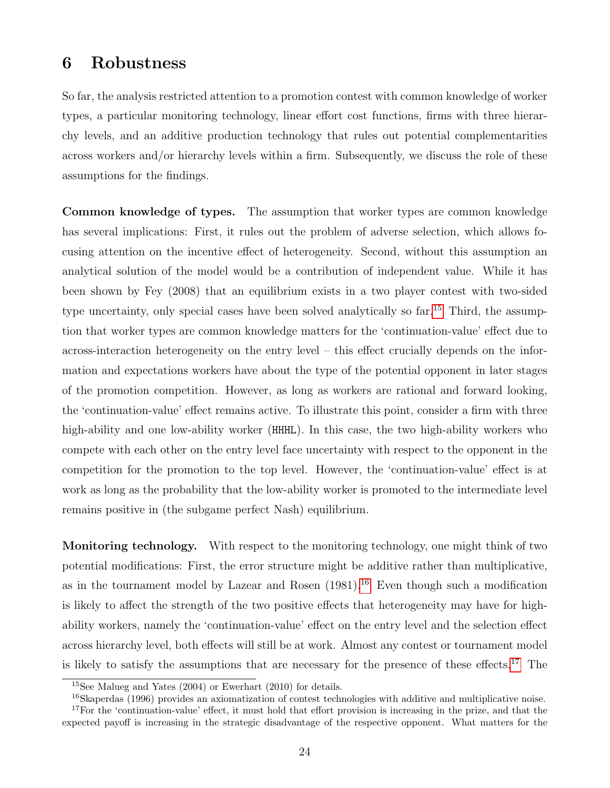### <span id="page-26-0"></span>6 Robustness

So far, the analysis restricted attention to a promotion contest with common knowledge of worker types, a particular monitoring technology, linear effort cost functions, firms with three hierarchy levels, and an additive production technology that rules out potential complementarities across workers and/or hierarchy levels within a firm. Subsequently, we discuss the role of these assumptions for the findings.

Common knowledge of types. The assumption that worker types are common knowledge has several implications: First, it rules out the problem of adverse selection, which allows focusing attention on the incentive effect of heterogeneity. Second, without this assumption an analytical solution of the model would be a contribution of independent value. While it has been shown by Fey (2008) that an equilibrium exists in a two player contest with two-sided type uncertainty, only special cases have been solved analytically so far.<sup>[15](#page--1-0)</sup> Third, the assumption that worker types are common knowledge matters for the 'continuation-value' effect due to across-interaction heterogeneity on the entry level – this effect crucially depends on the information and expectations workers have about the type of the potential opponent in later stages of the promotion competition. However, as long as workers are rational and forward looking, the 'continuation-value' effect remains active. To illustrate this point, consider a firm with three high-ability and one low-ability worker (HHHL). In this case, the two high-ability workers who compete with each other on the entry level face uncertainty with respect to the opponent in the competition for the promotion to the top level. However, the 'continuation-value' effect is at work as long as the probability that the low-ability worker is promoted to the intermediate level remains positive in (the subgame perfect Nash) equilibrium.

Monitoring technology. With respect to the monitoring technology, one might think of two potential modifications: First, the error structure might be additive rather than multiplicative, as in the tournament model by Lazear and Rosen  $(1981)$ .<sup>[16](#page--1-0)</sup> Even though such a modification is likely to affect the strength of the two positive effects that heterogeneity may have for highability workers, namely the 'continuation-value' effect on the entry level and the selection effect across hierarchy level, both effects will still be at work. Almost any contest or tournament model is likely to satisfy the assumptions that are necessary for the presence of these effects.[17](#page--1-0) The

<sup>15</sup>See Malueg and Yates (2004) or Ewerhart (2010) for details.

<sup>&</sup>lt;sup>16</sup>Skaperdas (1996) provides an axiomatization of contest technologies with additive and multiplicative noise. <sup>17</sup>For the 'continuation-value' effect, it must hold that effort provision is increasing in the prize, and that the expected payoff is increasing in the strategic disadvantage of the respective opponent. What matters for the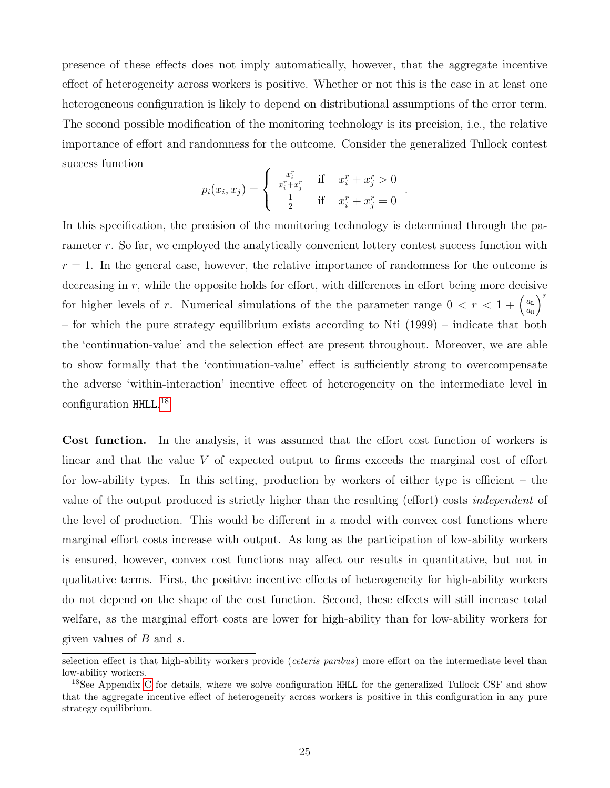presence of these effects does not imply automatically, however, that the aggregate incentive effect of heterogeneity across workers is positive. Whether or not this is the case in at least one heterogeneous configuration is likely to depend on distributional assumptions of the error term. The second possible modification of the monitoring technology is its precision, i.e., the relative importance of effort and randomness for the outcome. Consider the generalized Tullock contest success function

$$
p_i(x_i, x_j) = \begin{cases} \frac{x_i^r}{x_i^r + x_j^r} & \text{if } x_i^r + x_j^r > 0\\ \frac{1}{2} & \text{if } x_i^r + x_j^r = 0 \end{cases}
$$

.

In this specification, the precision of the monitoring technology is determined through the parameter r. So far, we employed the analytically convenient lottery contest success function with  $r = 1$ . In the general case, however, the relative importance of randomness for the outcome is decreasing in r, while the opposite holds for effort, with differences in effort being more decisive for higher levels of r. Numerical simulations of the the parameter range  $0 < r < 1 + \left(\frac{a_L}{a_R}\right)^2$  $a_{\rm H}$  $\big)^r$ – for which the pure strategy equilibrium exists according to Nti (1999) – indicate that both the 'continuation-value' and the selection effect are present throughout. Moreover, we are able to show formally that the 'continuation-value' effect is sufficiently strong to overcompensate the adverse 'within-interaction' incentive effect of heterogeneity on the intermediate level in configuration HHLL. [18](#page--1-0)

Cost function. In the analysis, it was assumed that the effort cost function of workers is linear and that the value V of expected output to firms exceeds the marginal cost of effort for low-ability types. In this setting, production by workers of either type is efficient – the value of the output produced is strictly higher than the resulting (effort) costs independent of the level of production. This would be different in a model with convex cost functions where marginal effort costs increase with output. As long as the participation of low-ability workers is ensured, however, convex cost functions may affect our results in quantitative, but not in qualitative terms. First, the positive incentive effects of heterogeneity for high-ability workers do not depend on the shape of the cost function. Second, these effects will still increase total welfare, as the marginal effort costs are lower for high-ability than for low-ability workers for given values of  $B$  and  $s$ .

selection effect is that high-ability workers provide (*ceteris paribus*) more effort on the intermediate level than low-ability workers.

<sup>&</sup>lt;sup>18</sup>See Appendix [C](#page-45-0) for details, where we solve configuration HHLL for the generalized Tullock CSF and show that the aggregate incentive effect of heterogeneity across workers is positive in this configuration in any pure strategy equilibrium.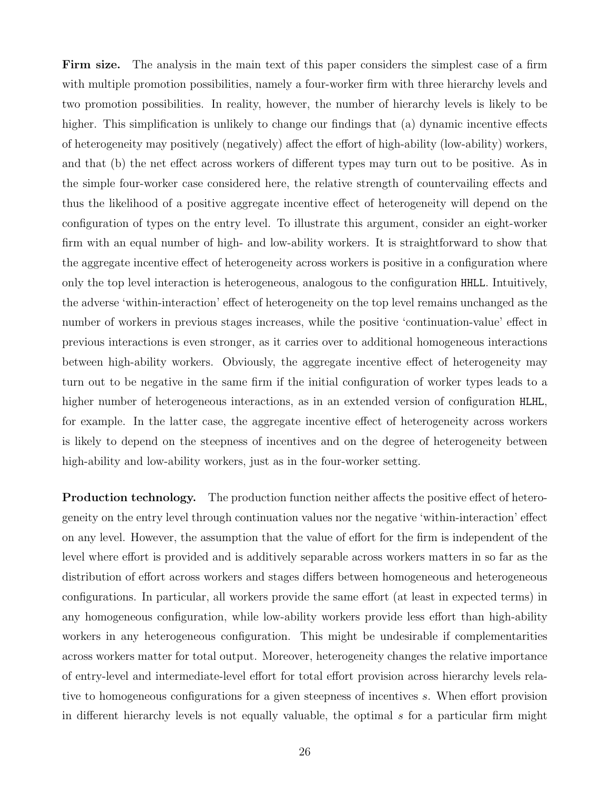Firm size. The analysis in the main text of this paper considers the simplest case of a firm with multiple promotion possibilities, namely a four-worker firm with three hierarchy levels and two promotion possibilities. In reality, however, the number of hierarchy levels is likely to be higher. This simplification is unlikely to change our findings that (a) dynamic incentive effects of heterogeneity may positively (negatively) affect the effort of high-ability (low-ability) workers, and that (b) the net effect across workers of different types may turn out to be positive. As in the simple four-worker case considered here, the relative strength of countervailing effects and thus the likelihood of a positive aggregate incentive effect of heterogeneity will depend on the configuration of types on the entry level. To illustrate this argument, consider an eight-worker firm with an equal number of high- and low-ability workers. It is straightforward to show that the aggregate incentive effect of heterogeneity across workers is positive in a configuration where only the top level interaction is heterogeneous, analogous to the configuration HHLL. Intuitively, the adverse 'within-interaction' effect of heterogeneity on the top level remains unchanged as the number of workers in previous stages increases, while the positive 'continuation-value' effect in previous interactions is even stronger, as it carries over to additional homogeneous interactions between high-ability workers. Obviously, the aggregate incentive effect of heterogeneity may turn out to be negative in the same firm if the initial configuration of worker types leads to a higher number of heterogeneous interactions, as in an extended version of configuration HLHL, for example. In the latter case, the aggregate incentive effect of heterogeneity across workers is likely to depend on the steepness of incentives and on the degree of heterogeneity between high-ability and low-ability workers, just as in the four-worker setting.

Production technology. The production function neither affects the positive effect of heterogeneity on the entry level through continuation values nor the negative 'within-interaction' effect on any level. However, the assumption that the value of effort for the firm is independent of the level where effort is provided and is additively separable across workers matters in so far as the distribution of effort across workers and stages differs between homogeneous and heterogeneous configurations. In particular, all workers provide the same effort (at least in expected terms) in any homogeneous configuration, while low-ability workers provide less effort than high-ability workers in any heterogeneous configuration. This might be undesirable if complementarities across workers matter for total output. Moreover, heterogeneity changes the relative importance of entry-level and intermediate-level effort for total effort provision across hierarchy levels relative to homogeneous configurations for a given steepness of incentives s. When effort provision in different hierarchy levels is not equally valuable, the optimal  $s$  for a particular firm might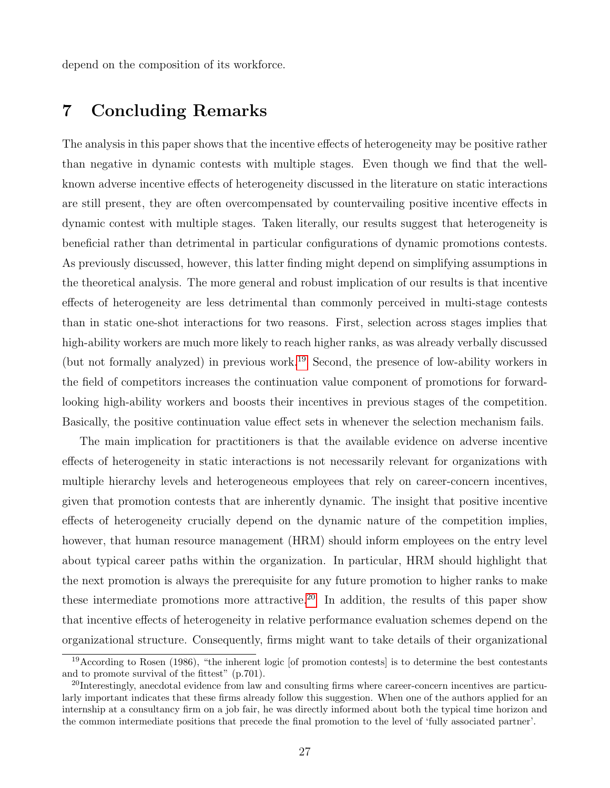depend on the composition of its workforce.

### <span id="page-29-0"></span>7 Concluding Remarks

The analysis in this paper shows that the incentive effects of heterogeneity may be positive rather than negative in dynamic contests with multiple stages. Even though we find that the wellknown adverse incentive effects of heterogeneity discussed in the literature on static interactions are still present, they are often overcompensated by countervailing positive incentive effects in dynamic contest with multiple stages. Taken literally, our results suggest that heterogeneity is beneficial rather than detrimental in particular configurations of dynamic promotions contests. As previously discussed, however, this latter finding might depend on simplifying assumptions in the theoretical analysis. The more general and robust implication of our results is that incentive effects of heterogeneity are less detrimental than commonly perceived in multi-stage contests than in static one-shot interactions for two reasons. First, selection across stages implies that high-ability workers are much more likely to reach higher ranks, as was already verbally discussed (but not formally analyzed) in previous work.[19](#page--1-0) Second, the presence of low-ability workers in the field of competitors increases the continuation value component of promotions for forwardlooking high-ability workers and boosts their incentives in previous stages of the competition. Basically, the positive continuation value effect sets in whenever the selection mechanism fails.

The main implication for practitioners is that the available evidence on adverse incentive effects of heterogeneity in static interactions is not necessarily relevant for organizations with multiple hierarchy levels and heterogeneous employees that rely on career-concern incentives, given that promotion contests that are inherently dynamic. The insight that positive incentive effects of heterogeneity crucially depend on the dynamic nature of the competition implies, however, that human resource management (HRM) should inform employees on the entry level about typical career paths within the organization. In particular, HRM should highlight that the next promotion is always the prerequisite for any future promotion to higher ranks to make these intermediate promotions more attractive.<sup>[20](#page--1-0)</sup> In addition, the results of this paper show that incentive effects of heterogeneity in relative performance evaluation schemes depend on the organizational structure. Consequently, firms might want to take details of their organizational

<sup>&</sup>lt;sup>19</sup>According to Rosen (1986), "the inherent logic [of promotion contests] is to determine the best contestants and to promote survival of the fittest" (p.701).

<sup>&</sup>lt;sup>20</sup>Interestingly, anecdotal evidence from law and consulting firms where career-concern incentives are particularly important indicates that these firms already follow this suggestion. When one of the authors applied for an internship at a consultancy firm on a job fair, he was directly informed about both the typical time horizon and the common intermediate positions that precede the final promotion to the level of 'fully associated partner'.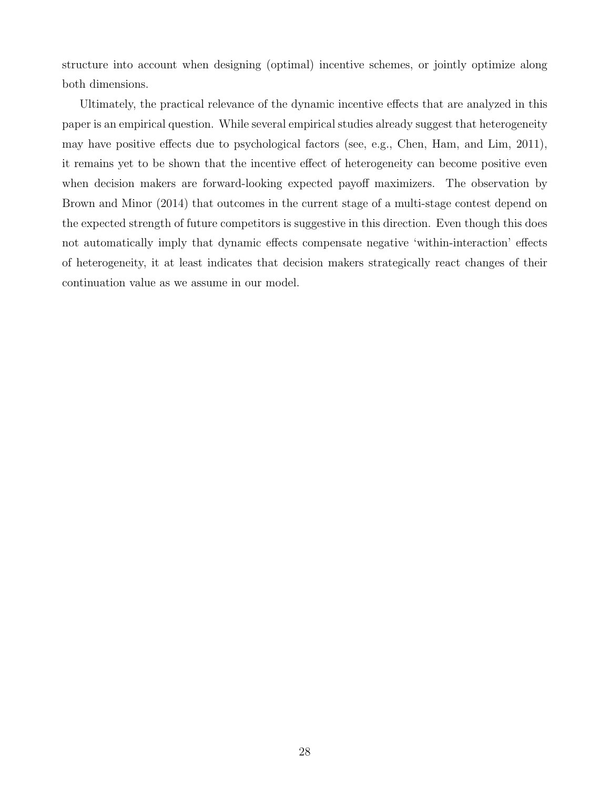structure into account when designing (optimal) incentive schemes, or jointly optimize along both dimensions.

Ultimately, the practical relevance of the dynamic incentive effects that are analyzed in this paper is an empirical question. While several empirical studies already suggest that heterogeneity may have positive effects due to psychological factors (see, e.g., Chen, Ham, and Lim, 2011), it remains yet to be shown that the incentive effect of heterogeneity can become positive even when decision makers are forward-looking expected payoff maximizers. The observation by Brown and Minor (2014) that outcomes in the current stage of a multi-stage contest depend on the expected strength of future competitors is suggestive in this direction. Even though this does not automatically imply that dynamic effects compensate negative 'within-interaction' effects of heterogeneity, it at least indicates that decision makers strategically react changes of their continuation value as we assume in our model.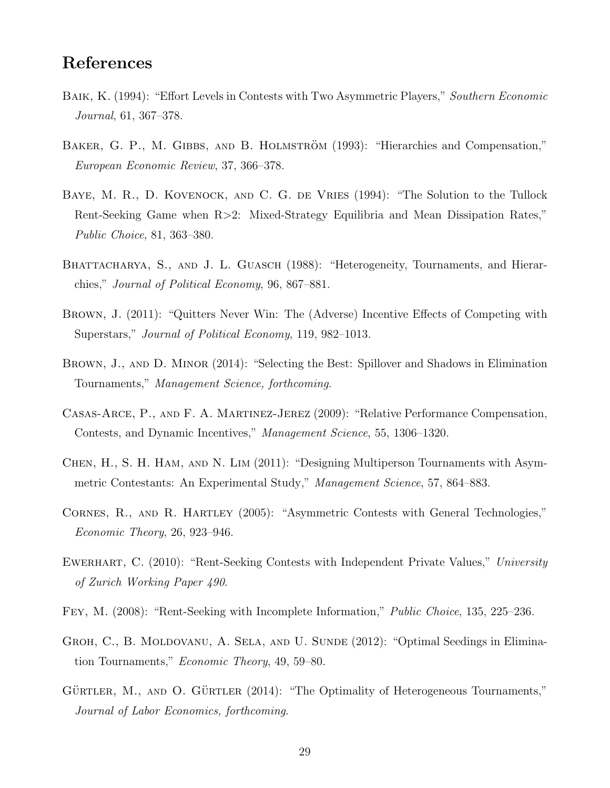### References

- BAIK, K. (1994): "Effort Levels in Contests with Two Asymmetric Players," Southern Economic Journal, 61, 367–378.
- BAKER, G. P., M. GIBBS, AND B. HOLMSTRÖM (1993): "Hierarchies and Compensation," European Economic Review, 37, 366–378.
- BAYE, M. R., D. KOVENOCK, AND C. G. DE VRIES (1994): "The Solution to the Tullock Rent-Seeking Game when R>2: Mixed-Strategy Equilibria and Mean Dissipation Rates," Public Choice, 81, 363–380.
- BHATTACHARYA, S., AND J. L. GUASCH (1988): "Heterogeneity, Tournaments, and Hierarchies," Journal of Political Economy, 96, 867–881.
- Brown, J. (2011): "Quitters Never Win: The (Adverse) Incentive Effects of Competing with Superstars," Journal of Political Economy, 119, 982–1013.
- Brown, J., and D. Minor (2014): "Selecting the Best: Spillover and Shadows in Elimination Tournaments," Management Science, forthcoming.
- Casas-Arce, P., and F. A. Martinez-Jerez (2009): "Relative Performance Compensation, Contests, and Dynamic Incentives," Management Science, 55, 1306–1320.
- Chen, H., S. H. Ham, and N. Lim (2011): "Designing Multiperson Tournaments with Asymmetric Contestants: An Experimental Study," Management Science, 57, 864–883.
- Cornes, R., and R. Hartley (2005): "Asymmetric Contests with General Technologies," Economic Theory, 26, 923–946.
- EWERHART, C. (2010): "Rent-Seeking Contests with Independent Private Values," University of Zurich Working Paper 490.
- Fey, M. (2008): "Rent-Seeking with Incomplete Information," Public Choice, 135, 225–236.
- GROH, C., B. MOLDOVANU, A. SELA, AND U. SUNDE (2012): "Optimal Seedings in Elimination Tournaments," Economic Theory, 49, 59–80.
- GÜRTLER, M., AND O. GÜRTLER  $(2014)$ : "The Optimality of Heterogeneous Tournaments," Journal of Labor Economics, forthcoming.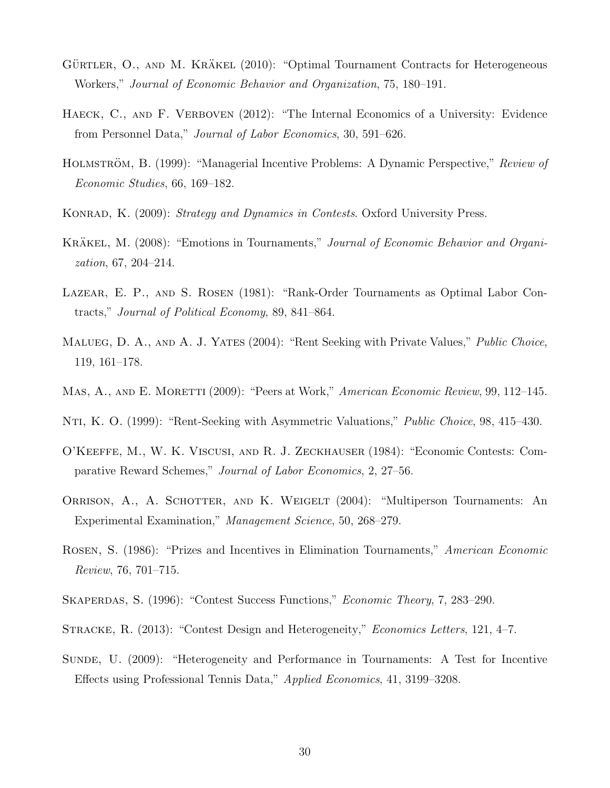- GÜRTLER, O., AND M. KRÄKEL (2010): "Optimal Tournament Contracts for Heterogeneous Workers," Journal of Economic Behavior and Organization, 75, 180–191.
- HAECK, C., AND F. VERBOVEN (2012): "The Internal Economics of a University: Evidence from Personnel Data," Journal of Labor Economics, 30, 591–626.
- HOLMSTRÖM, B. (1999): "Managerial Incentive Problems: A Dynamic Perspective," Review of Economic Studies, 66, 169–182.
- KONRAD, K. (2009): Strategy and Dynamics in Contests. Oxford University Press.
- KRAKEL, M. (2008): "Emotions in Tournaments," Journal of Economic Behavior and Organization, 67, 204–214.
- Lazear, E. P., and S. Rosen (1981): "Rank-Order Tournaments as Optimal Labor Contracts," Journal of Political Economy, 89, 841–864.
- MALUEG, D. A., AND A. J. YATES (2004): "Rent Seeking with Private Values," *Public Choice*, 119, 161–178.
- MAS, A., AND E. MORETTI (2009): "Peers at Work," American Economic Review, 99, 112–145.
- Nti, K. O. (1999): "Rent-Seeking with Asymmetric Valuations," Public Choice, 98, 415–430.
- O'Keeffe, M., W. K. Viscusi, and R. J. Zeckhauser (1984): "Economic Contests: Comparative Reward Schemes," Journal of Labor Economics, 2, 27–56.
- Orrison, A., A. Schotter, and K. Weigelt (2004): "Multiperson Tournaments: An Experimental Examination," Management Science, 50, 268–279.
- Rosen, S. (1986): "Prizes and Incentives in Elimination Tournaments," American Economic Review, 76, 701–715.
- SKAPERDAS, S. (1996): "Contest Success Functions," *Economic Theory*, 7, 283–290.
- STRACKE, R. (2013): "Contest Design and Heterogeneity," *Economics Letters*, 121, 4–7.
- Sunde, U. (2009): "Heterogeneity and Performance in Tournaments: A Test for Incentive Effects using Professional Tennis Data," Applied Economics, 41, 3199–3208.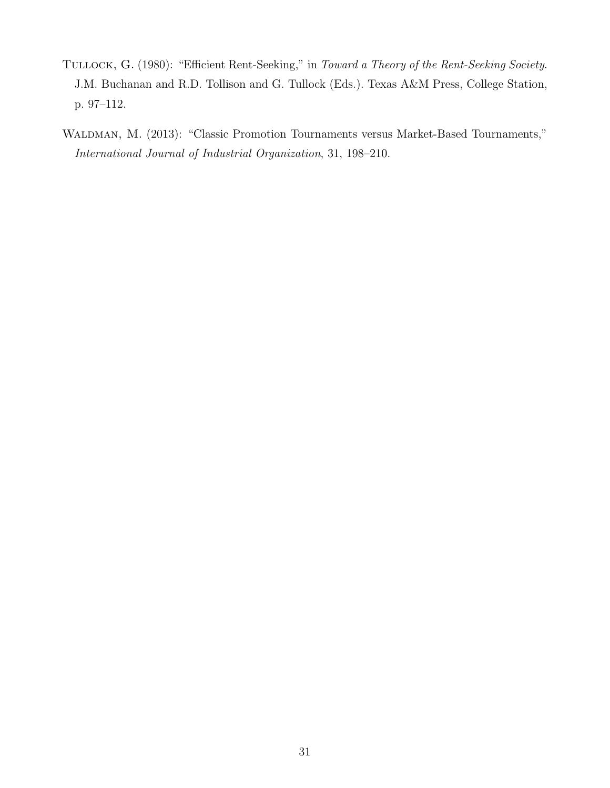- TULLOCK, G. (1980): "Efficient Rent-Seeking," in Toward a Theory of the Rent-Seeking Society. J.M. Buchanan and R.D. Tollison and G. Tullock (Eds.). Texas A&M Press, College Station, p. 97–112.
- Waldman, M. (2013): "Classic Promotion Tournaments versus Market-Based Tournaments," International Journal of Industrial Organization, 31, 198–210.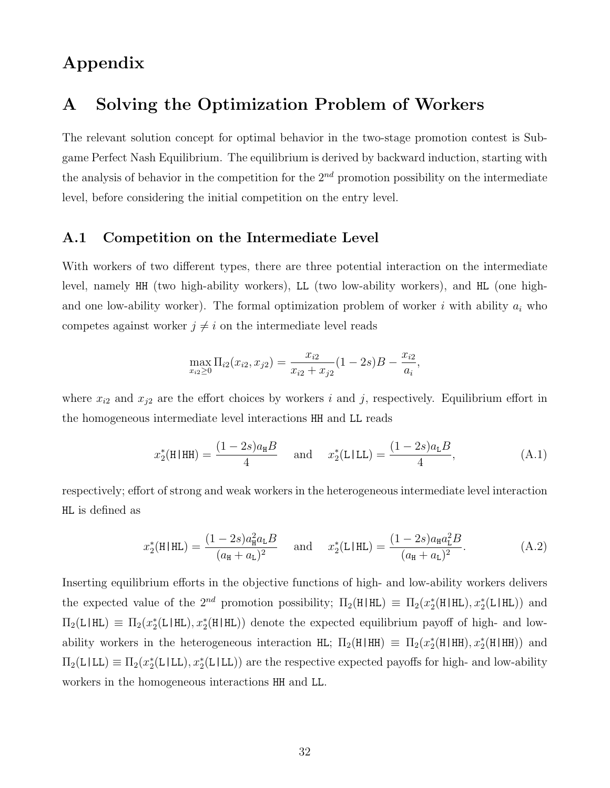# Appendix

### A Solving the Optimization Problem of Workers

The relevant solution concept for optimal behavior in the two-stage promotion contest is Subgame Perfect Nash Equilibrium. The equilibrium is derived by backward induction, starting with the analysis of behavior in the competition for the  $2^{nd}$  promotion possibility on the intermediate level, before considering the initial competition on the entry level.

### <span id="page-34-0"></span>A.1 Competition on the Intermediate Level

With workers of two different types, there are three potential interaction on the intermediate level, namely HH (two high-ability workers), LL (two low-ability workers), and HL (one highand one low-ability worker). The formal optimization problem of worker i with ability  $a_i$  who competes against worker  $j \neq i$  on the intermediate level reads

$$
\max_{x_{i2} \ge 0} \Pi_{i2}(x_{i2}, x_{j2}) = \frac{x_{i2}}{x_{i2} + x_{j2}}(1 - 2s)B - \frac{x_{i2}}{a_i},
$$

where  $x_{i2}$  and  $x_{j2}$  are the effort choices by workers i and j, respectively. Equilibrium effort in the homogeneous intermediate level interactions HH and LL reads

<span id="page-34-1"></span>
$$
x_2^*(H|HH) = \frac{(1 - 2s)a_H B}{4} \quad \text{and} \quad x_2^*(L|LL) = \frac{(1 - 2s)a_L B}{4}, \tag{A.1}
$$

respectively; effort of strong and weak workers in the heterogeneous intermediate level interaction HL is defined as

<span id="page-34-2"></span>
$$
x_2^*(H|HL) = \frac{(1-2s)a_H^2 a_L B}{(a_H + a_L)^2} \quad \text{and} \quad x_2^*(L|HL) = \frac{(1-2s)a_H a_L^2 B}{(a_H + a_L)^2}.
$$
 (A.2)

Inserting equilibrium efforts in the objective functions of high- and low-ability workers delivers the expected value of the  $2^{nd}$  promotion possibility;  $\Pi_2(H|HL) \equiv \Pi_2(x_2^*(H|HL), x_2^*(L|HL))$  and  $\Pi_2(L|HL) \equiv \Pi_2(x_2^*(L|HL), x_2^*(H|HL))$  denote the expected equilibrium payoff of high- and lowability workers in the heterogeneous interaction HL;  $\Pi_2(H|HH) \equiv \Pi_2(x_2^*(H|HH), x_2^*(H|HH))$  and  $\Pi_2(L|LL) \equiv \Pi_2(x_2^*(L|LL), x_2^*(L|LL))$  are the respective expected payoffs for high- and low-ability workers in the homogeneous interactions HH and LL.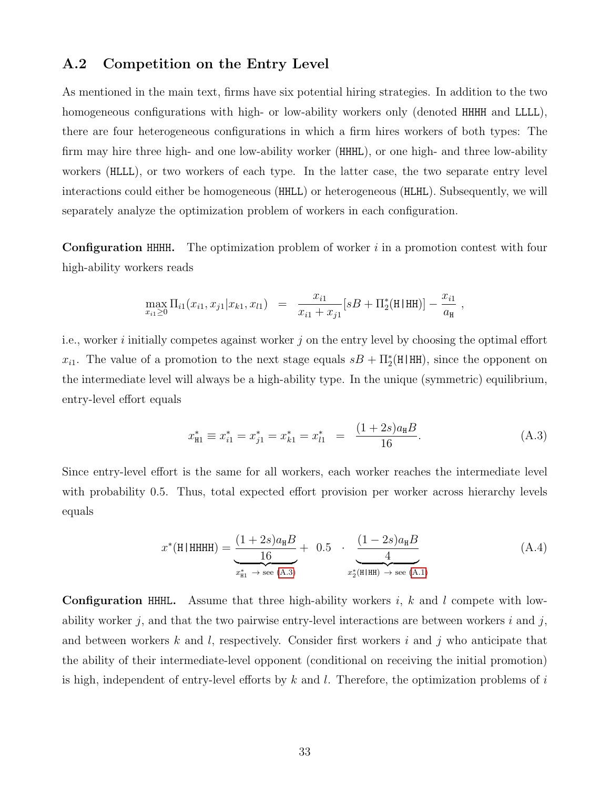#### <span id="page-35-0"></span>A.2 Competition on the Entry Level

As mentioned in the main text, firms have six potential hiring strategies. In addition to the two homogeneous configurations with high- or low-ability workers only (denoted HHHH and LLLL), there are four heterogeneous configurations in which a firm hires workers of both types: The firm may hire three high- and one low-ability worker (HHHL), or one high- and three low-ability workers (HLLL), or two workers of each type. In the latter case, the two separate entry level interactions could either be homogeneous (HHLL) or heterogeneous (HLHL). Subsequently, we will separately analyze the optimization problem of workers in each configuration.

**Configuration HHHH.** The optimization problem of worker  $i$  in a promotion contest with four high-ability workers reads

$$
\max_{x_{i1} \ge 0} \Pi_{i1}(x_{i1}, x_{j1}|x_{k1}, x_{l1}) = \frac{x_{i1}}{x_{i1} + x_{j1}}[sB + \Pi_2^*(\text{H}|\text{HH})] - \frac{x_{i1}}{a_{\text{H}}},
$$

i.e., worker i initially competes against worker j on the entry level by choosing the optimal effort  $x_{i1}$ . The value of a promotion to the next stage equals  $sB + \Pi_2^*(H|HH)$ , since the opponent on the intermediate level will always be a high-ability type. In the unique (symmetric) equilibrium, entry-level effort equals

<span id="page-35-1"></span>
$$
x_{\rm H1}^* \equiv x_{i1}^* = x_{j1}^* = x_{k1}^* = x_{l1}^* = \frac{(1+2s)a_{\rm H}B}{16}.
$$
 (A.3)

Since entry-level effort is the same for all workers, each worker reaches the intermediate level with probability 0.5. Thus, total expected effort provision per worker across hierarchy levels equals

$$
x^*(H|HHHH) = \underbrace{\frac{(1+2s)a_H B}{16}}_{x^*_{H1} \to \text{see (A.3)}} + 0.5 \cdot \underbrace{\frac{(1-2s)a_H B}{4}}_{x^*_{2}(H|HH) \to \text{see (A.1)}} \tag{A.4}
$$

**Configuration HHHL.** Assume that three high-ability workers  $i$ ,  $k$  and  $l$  compete with lowability worker j, and that the two pairwise entry-level interactions are between workers  $i$  and  $j$ , and between workers k and l, respectively. Consider first workers i and j who anticipate that the ability of their intermediate-level opponent (conditional on receiving the initial promotion) is high, independent of entry-level efforts by  $k$  and  $l$ . Therefore, the optimization problems of  $i$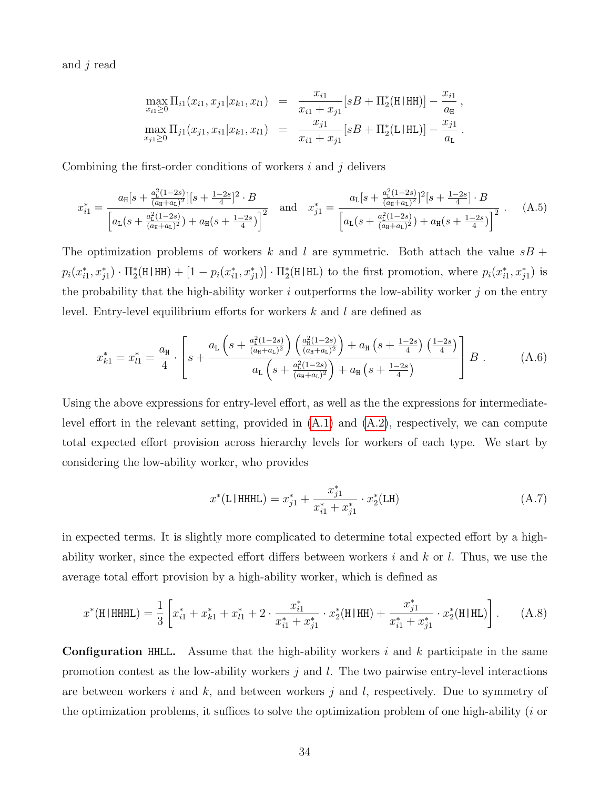and j read

$$
\max_{x_{i1}\geq 0} \Pi_{i1}(x_{i1}, x_{j1}|x_{k1}, x_{l1}) = \frac{x_{i1}}{x_{i1} + x_{j1}} [sB + \Pi_2^*(\text{H}|\text{HH})] - \frac{x_{i1}}{a_{\text{H}}},
$$
  

$$
\max_{x_{j1}\geq 0} \Pi_{j1}(x_{j1}, x_{i1}|x_{k1}, x_{l1}) = \frac{x_{j1}}{x_{i1} + x_{j1}} [sB + \Pi_2^*(\text{L}|\text{HL})] - \frac{x_{j1}}{a_{\text{L}}}.
$$

Combining the first-order conditions of workers  $i$  and  $j$  delivers

$$
x_{i1}^{*} = \frac{a_{\text{H}}[s + \frac{a_{\text{L}}^{2}(1-2s)}{(a_{\text{H}}+a_{\text{L}})^{2}}][s + \frac{1-2s}{4}]^{2} \cdot B}{\left[a_{\text{L}}(s + \frac{a_{\text{L}}^{2}(1-2s)}{(a_{\text{H}}+a_{\text{L}})^{2}}) + a_{\text{H}}(s + \frac{1-2s}{4}\right)^{2}}\n\quad \text{and} \quad\nx_{j1}^{*} = \frac{a_{\text{L}}[s + \frac{a_{\text{L}}^{2}(1-2s)}{(a_{\text{H}}+a_{\text{L}})^{2}}]^{2}[s + \frac{1-2s}{4}] \cdot B}{\left[a_{\text{L}}(s + \frac{a_{\text{L}}^{2}(1-2s)}{(a_{\text{H}}+a_{\text{L}})^{2}}) + a_{\text{H}}(s + \frac{1-2s}{4}\right)^{2}}\n\quad .
$$
\n(A.5)

The optimization problems of workers k and l are symmetric. Both attach the value  $sB +$  $p_i(x_{i1}^*, x_{j1}^*) \cdot \Pi_2^*(\text{H} | \text{HH}) + [1 - p_i(x_{i1}^*, x_{j1}^*)] \cdot \Pi_2^*(\text{H} | \text{HL})$  to the first promotion, where  $p_i(x_{i1}^*, x_{j1}^*)$  is the probability that the high-ability worker  $i$  outperforms the low-ability worker  $j$  on the entry level. Entry-level equilibrium efforts for workers k and l are defined as

$$
x_{k1}^* = x_{l1}^* = \frac{a_{\rm H}}{4} \cdot \left[ s + \frac{a_{\rm L} \left( s + \frac{a_{\rm L}^2 (1-2s)}{(a_{\rm H} + a_{\rm L})^2} \right) \left( \frac{a_{\rm H}^2 (1-2s)}{(a_{\rm H} + a_{\rm L})^2} \right) + a_{\rm H} \left( s + \frac{1-2s}{4} \right) \left( \frac{1-2s}{4} \right)}{a_{\rm L} \left( s + \frac{a_{\rm L}^2 (1-2s)}{(a_{\rm H} + a_{\rm L})^2} \right) + a_{\rm H} \left( s + \frac{1-2s}{4} \right)} \right] B \,. \tag{A.6}
$$

Using the above expressions for entry-level effort, as well as the the expressions for intermediatelevel effort in the relevant setting, provided in  $(A.1)$  and  $(A.2)$ , respectively, we can compute total expected effort provision across hierarchy levels for workers of each type. We start by considering the low-ability worker, who provides

$$
x^*(\text{L}|\text{HHHL}) = x_{j1}^* + \frac{x_{j1}^*}{x_{i1}^* + x_{j1}^*} \cdot x_2^*(\text{LH})
$$
\n(A.7)

in expected terms. It is slightly more complicated to determine total expected effort by a highability worker, since the expected effort differs between workers  $i$  and  $k$  or  $l$ . Thus, we use the average total effort provision by a high-ability worker, which is defined as

$$
x^*(\text{H}|\text{HHHL}) = \frac{1}{3} \left[ x_{i1}^* + x_{k1}^* + x_{l1}^* + 2 \cdot \frac{x_{i1}^*}{x_{i1}^* + x_{j1}^*} \cdot x_2^*(\text{H}|\text{HH}) + \frac{x_{j1}^*}{x_{i1}^* + x_{j1}^*} \cdot x_2^*(\text{H}|\text{HL}) \right]. \tag{A.8}
$$

**Configuration HHLL.** Assume that the high-ability workers i and k participate in the same promotion contest as the low-ability workers  $j$  and  $l$ . The two pairwise entry-level interactions are between workers i and  $k$ , and between workers j and l, respectively. Due to symmetry of the optimization problems, it suffices to solve the optimization problem of one high-ability  $(i$  or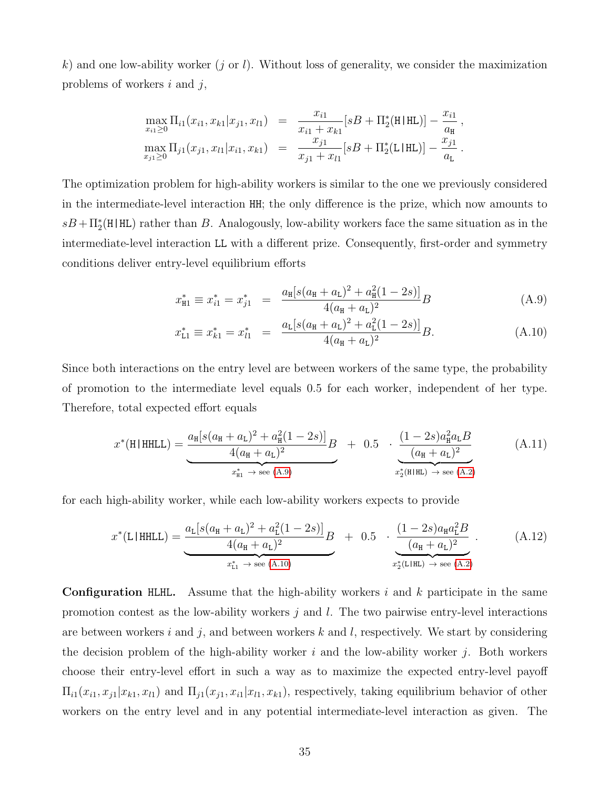k) and one low-ability worker  $(j \text{ or } l)$ . Without loss of generality, we consider the maximization problems of workers  $i$  and  $j$ ,

$$
\max_{x_{i1} \geq 0} \Pi_{i1}(x_{i1}, x_{k1}|x_{j1}, x_{l1}) = \frac{x_{i1}}{x_{i1} + x_{k1}}[sB + \Pi_2^*(\text{H}|\text{HL})] - \frac{x_{i1}}{a_{\text{H}}},
$$
  

$$
\max_{x_{j1} \geq 0} \Pi_{j1}(x_{j1}, x_{l1}|x_{i1}, x_{k1}) = \frac{x_{j1}}{x_{j1} + x_{l1}}[sB + \Pi_2^*(\text{L}|\text{HL})] - \frac{x_{j1}}{a_{\text{L}}}.
$$

The optimization problem for high-ability workers is similar to the one we previously considered in the intermediate-level interaction HH; the only difference is the prize, which now amounts to  $sB + \Pi_2^*(\text{H} | \text{HL})$  rather than B. Analogously, low-ability workers face the same situation as in the intermediate-level interaction LL with a different prize. Consequently, first-order and symmetry conditions deliver entry-level equilibrium efforts

<span id="page-37-0"></span>
$$
x_{\rm H1}^* \equiv x_{i1}^* = x_{j1}^* = \frac{a_{\rm H}[s(a_{\rm H} + a_{\rm L})^2 + a_{\rm H}^2(1 - 2s)]}{4(a_{\rm H} + a_{\rm L})^2}B \tag{A.9}
$$

$$
x_{\text{L1}}^* \equiv x_{k1}^* = x_{l1}^* = \frac{a_{\text{L}}[s(a_{\text{H}} + a_{\text{L}})^2 + a_{\text{L}}^2(1 - 2s)]}{4(a_{\text{H}} + a_{\text{L}})^2}B. \tag{A.10}
$$

Since both interactions on the entry level are between workers of the same type, the probability of promotion to the intermediate level equals 0.5 for each worker, independent of her type. Therefore, total expected effort equals

$$
x^*(\text{H|HHLL}) = \underbrace{\frac{a_{\text{H}}[s(a_{\text{H}} + a_{\text{L}})^2 + a_{\text{H}}^2(1 - 2s)]}{4(a_{\text{H}} + a_{\text{L}})^2}B}_{x_{\text{H}}^* \to \text{see (A.9)}} + 0.5 \cdot \underbrace{\frac{(1 - 2s)a_{\text{H}}^2 a_{\text{L}}B}{(a_{\text{H}} + a_{\text{L}})^2}}_{x_2^*(\text{H|HL}) \to \text{see (A.2)}} \tag{A.11}
$$

for each high-ability worker, while each low-ability workers expects to provide

$$
x^*(\text{L}|\text{HHL}) = \underbrace{\frac{a_{\text{L}}[s(a_{\text{H}} + a_{\text{L}})^2 + a_{\text{L}}^2(1 - 2s)]}{4(a_{\text{H}} + a_{\text{L}})^2}B}_{x_{\text{L}}^* \to \text{ see (A.10)}} + 0.5 \cdot \underbrace{\frac{(1 - 2s)a_{\text{H}}a_{\text{L}}^2B}{(a_{\text{H}} + a_{\text{L}})^2}}_{x_{\text{L}}^*(\text{L}|\text{HL}) \to \text{ see (A.2)}}.
$$
(A.12)

**Configuration HLHL.** Assume that the high-ability workers i and k participate in the same promotion contest as the low-ability workers  $j$  and  $l$ . The two pairwise entry-level interactions are between workers i and j, and between workers k and l, respectively. We start by considering the decision problem of the high-ability worker  $i$  and the low-ability worker  $j$ . Both workers choose their entry-level effort in such a way as to maximize the expected entry-level payoff  $\Pi_{i1}(x_{i1}, x_{j1}|x_{k1}, x_{l1})$  and  $\Pi_{j1}(x_{j1}, x_{i1}|x_{l1}, x_{k1})$ , respectively, taking equilibrium behavior of other workers on the entry level and in any potential intermediate-level interaction as given. The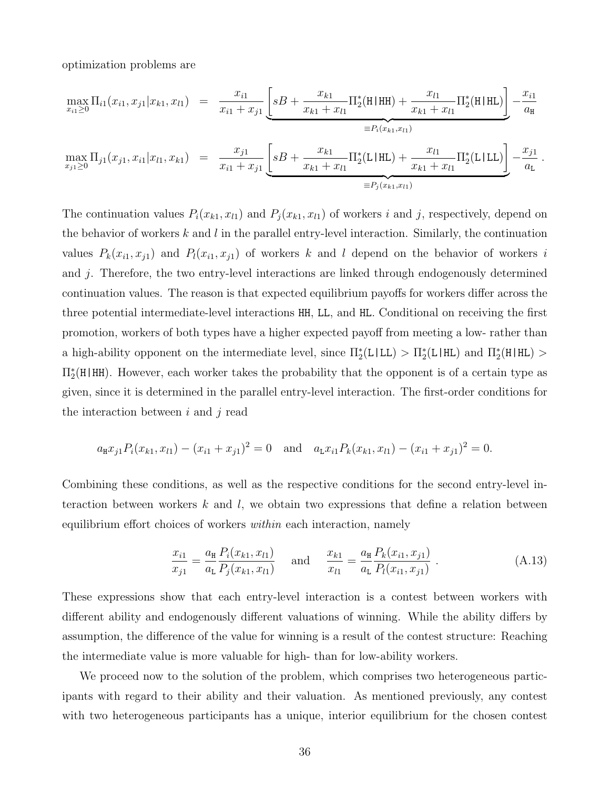optimization problems are

$$
\max_{x_{i1}\geq 0} \Pi_{i1}(x_{i1}, x_{j1}|x_{k1}, x_{l1}) = \frac{x_{i1}}{x_{i1} + x_{j1}} \underbrace{\left[sB + \frac{x_{k1}}{x_{k1} + x_{l1}} \Pi_{2}^{*}(H|HH) + \frac{x_{l1}}{x_{k1} + x_{l1}} \Pi_{2}^{*}(H|HL)\right]}_{\equiv P_{i}(x_{k1}, x_{l1})} - \frac{x_{i1}}{a_{H}}
$$
\n
$$
\max_{x_{j1}\geq 0} \Pi_{j1}(x_{j1}, x_{i1}|x_{l1}, x_{k1}) = \frac{x_{j1}}{x_{i1} + x_{j1}} \underbrace{\left[sB + \frac{x_{k1}}{x_{k1} + x_{l1}} \Pi_{2}^{*}(L|HL) + \frac{x_{l1}}{x_{k1} + x_{l1}} \Pi_{2}^{*}(L|LL)\right]}_{\equiv P_{j}(x_{k1}, x_{l1})} - \frac{x_{j1}}{a_{L}}.
$$

The continuation values  $P_i(x_{k1}, x_{l1})$  and  $P_j(x_{k1}, x_{l1})$  of workers i and j, respectively, depend on the behavior of workers k and l in the parallel entry-level interaction. Similarly, the continuation values  $P_k(x_{i1}, x_{j1})$  and  $P_l(x_{i1}, x_{j1})$  of workers k and l depend on the behavior of workers i and j. Therefore, the two entry-level interactions are linked through endogenously determined continuation values. The reason is that expected equilibrium payoffs for workers differ across the three potential intermediate-level interactions HH, LL, and HL. Conditional on receiving the first promotion, workers of both types have a higher expected payoff from meeting a low- rather than a high-ability opponent on the intermediate level, since  $\Pi_2^*(L|LL) > \Pi_2^*(L|HL)$  and  $\Pi_2^*(H|HL)$  $\Pi_{2}^{*}(\mathbf{H} | \mathbf{H})$ . However, each worker takes the probability that the opponent is of a certain type as given, since it is determined in the parallel entry-level interaction. The first-order conditions for the interaction between  $i$  and  $j$  read

$$
a_{\mathbf{H}}x_{j1}P_i(x_{k1}, x_{l1}) - (x_{i1} + x_{j1})^2 = 0 \text{ and } a_{\mathbf{L}}x_{i1}P_k(x_{k1}, x_{l1}) - (x_{i1} + x_{j1})^2 = 0.
$$

Combining these conditions, as well as the respective conditions for the second entry-level interaction between workers k and l, we obtain two expressions that define a relation between equilibrium effort choices of workers *within* each interaction, namely

<span id="page-38-0"></span>
$$
\frac{x_{i1}}{x_{j1}} = \frac{a_{\rm H}}{a_{\rm L}} \frac{P_i(x_{k1}, x_{l1})}{P_j(x_{k1}, x_{l1})} \quad \text{and} \quad \frac{x_{k1}}{x_{l1}} = \frac{a_{\rm H}}{a_{\rm L}} \frac{P_k(x_{i1}, x_{j1})}{P_l(x_{i1}, x_{j1})} \,. \tag{A.13}
$$

These expressions show that each entry-level interaction is a contest between workers with different ability and endogenously different valuations of winning. While the ability differs by assumption, the difference of the value for winning is a result of the contest structure: Reaching the intermediate value is more valuable for high- than for low-ability workers.

We proceed now to the solution of the problem, which comprises two heterogeneous participants with regard to their ability and their valuation. As mentioned previously, any contest with two heterogeneous participants has a unique, interior equilibrium for the chosen contest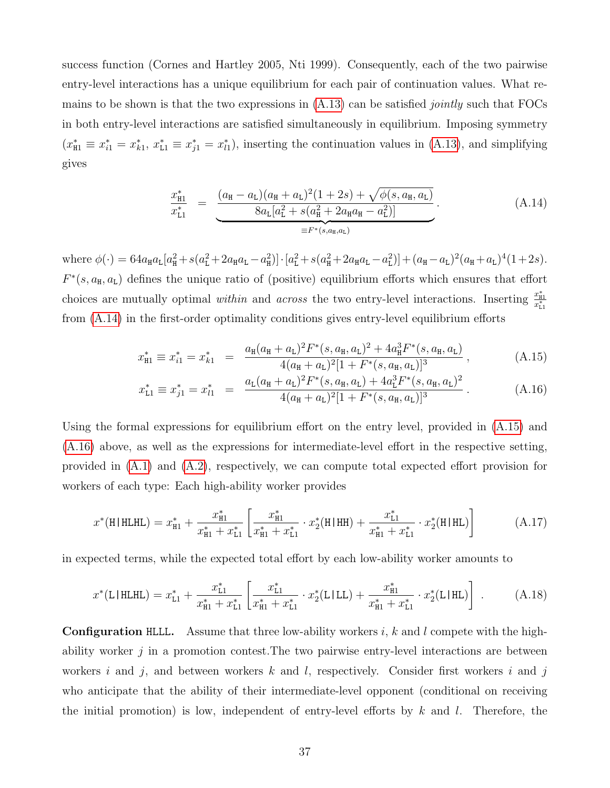success function (Cornes and Hartley 2005, Nti 1999). Consequently, each of the two pairwise entry-level interactions has a unique equilibrium for each pair of continuation values. What remains to be shown is that the two expressions in  $(A.13)$  can be satisfied *jointly* such that FOCs in both entry-level interactions are satisfied simultaneously in equilibrium. Imposing symmetry  $(x_{\text{H1}}^* \equiv x_{i1}^* = x_{k1}^*, x_{\text{L1}}^* \equiv x_{j1}^* = x_{l1}^*$ , inserting the continuation values in [\(A.13\)](#page-38-0), and simplifying gives

<span id="page-39-0"></span>
$$
\frac{x_{\rm H1}^*}{x_{\rm L1}^*} = \underbrace{\frac{(a_{\rm H} - a_{\rm L})(a_{\rm H} + a_{\rm L})^2 (1 + 2s) + \sqrt{\phi(s, a_{\rm H}, a_{\rm L})}}{8a_{\rm L}[a_{\rm L}^2 + s(a_{\rm H}^2 + 2a_{\rm H}a_{\rm H} - a_{\rm L}^2)]}}_{\equiv F^*(s, a_{\rm H}, a_{\rm L})}.
$$
\n(A.14)

where  $\phi(\cdot) = 64a_{\text{H}}a_{\text{L}}[a_{\text{H}}^2 + s(a_{\text{L}}^2 + 2a_{\text{H}}a_{\text{L}} - a_{\text{H}}^2)] \cdot [a_{\text{L}}^2 + s(a_{\text{H}}^2 + 2a_{\text{H}}a_{\text{L}} - a_{\text{L}}^2)] + (a_{\text{H}} - a_{\text{L}})^2(a_{\text{H}} + a_{\text{L}})^4(1+2s).$  $F^*(s, a_{\text{H}}, a_{\text{L}})$  defines the unique ratio of (positive) equilibrium efforts which ensures that effort choices are mutually optimal *within* and *across* the two entry-level interactions. Inserting  $\frac{x_{\text{H}}^{*}}{x_{\text{L}}^{*}}$ from [\(A.14\)](#page-39-0) in the first-order optimality conditions gives entry-level equilibrium efforts

<span id="page-39-1"></span>
$$
x_{\rm H1}^* \equiv x_{i1}^* = x_{k1}^* = \frac{a_{\rm H}(a_{\rm H} + a_{\rm L})^2 F^*(s, a_{\rm H}, a_{\rm L})^2 + 4a_{\rm H}^3 F^*(s, a_{\rm H}, a_{\rm L})}{4(a_{\rm H} + a_{\rm L})^2 [1 + F^*(s, a_{\rm H}, a_{\rm L})]^3}, \tag{A.15}
$$

$$
x_{\text{L1}}^* \equiv x_{j1}^* = x_{l1}^* = \frac{a_{\text{L}}(a_{\text{H}} + a_{\text{L}})^2 F^*(s, a_{\text{H}}, a_{\text{L}}) + 4a_{\text{L}}^3 F^*(s, a_{\text{H}}, a_{\text{L}})^2}{4(a_{\text{H}} + a_{\text{L}})^2 [1 + F^*(s, a_{\text{H}}, a_{\text{L}})]^3}.
$$
(A.16)

Using the formal expressions for equilibrium effort on the entry level, provided in [\(A.15\)](#page-39-1) and [\(A.16\)](#page-39-1) above, as well as the expressions for intermediate-level effort in the respective setting, provided in [\(A.1\)](#page-34-1) and [\(A.2\)](#page-34-2), respectively, we can compute total expected effort provision for workers of each type: Each high-ability worker provides

$$
x^*(\text{H|HLHL}) = x^*_{\text{H1}} + \frac{x^*_{\text{H1}}}{x^*_{\text{H1}} + x^*_{\text{L1}}} \left[ \frac{x^*_{\text{H1}}}{x^*_{\text{H1}} + x^*_{\text{L1}}} \cdot x^*_2(\text{H|HH}) + \frac{x^*_{\text{L1}}}{x^*_{\text{H1}} + x^*_{\text{L1}}} \cdot x^*_2(\text{H|HL}) \right] \tag{A.17}
$$

in expected terms, while the expected total effort by each low-ability worker amounts to

$$
x^*(\text{L|HLHL}) = x^*_{\text{L1}} + \frac{x^*_{\text{L1}}}{x^*_{\text{H1}} + x^*_{\text{L1}}} \left[ \frac{x^*_{\text{L1}}}{x^*_{\text{H1}} + x^*_{\text{L1}}} \cdot x^*_2(\text{L|LL}) + \frac{x^*_{\text{H1}}}{x^*_{\text{H1}} + x^*_{\text{L1}}} \cdot x^*_2(\text{L|HL}) \right] \ . \tag{A.18}
$$

**Configuration HLLL.** Assume that three low-ability workers i, k and l compete with the highability worker  $j$  in a promotion contest. The two pairwise entry-level interactions are between workers  $i$  and  $j$ , and between workers  $k$  and  $l$ , respectively. Consider first workers  $i$  and  $j$ who anticipate that the ability of their intermediate-level opponent (conditional on receiving the initial promotion) is low, independent of entry-level efforts by  $k$  and  $l$ . Therefore, the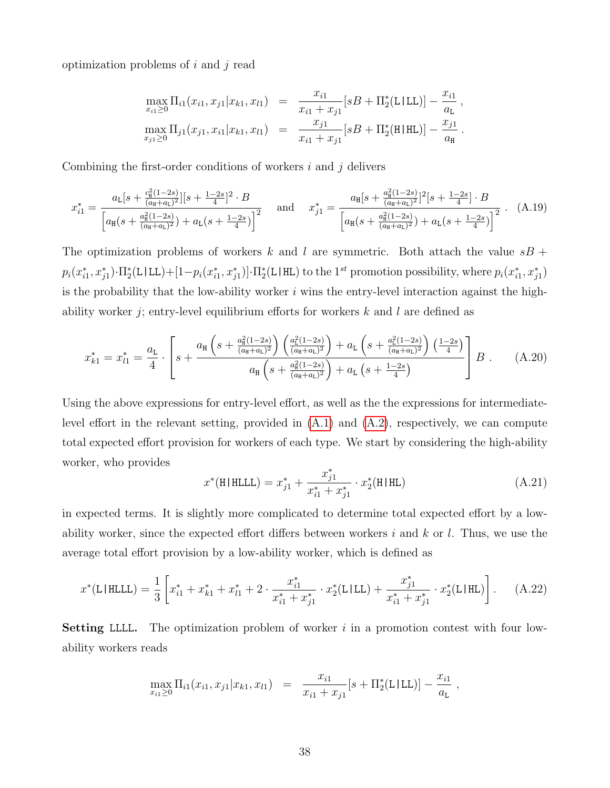optimization problems of  $i$  and  $j$  read

$$
\max_{x_{i1}\geq 0} \Pi_{i1}(x_{i1}, x_{j1}|x_{k1}, x_{l1}) = \frac{x_{i1}}{x_{i1} + x_{j1}} [sB + \Pi_2^*(\text{L}|\text{LL})] - \frac{x_{i1}}{a_{\text{L}}},
$$
  

$$
\max_{x_{j1}\geq 0} \Pi_{j1}(x_{j1}, x_{i1}|x_{k1}, x_{l1}) = \frac{x_{j1}}{x_{i1} + x_{j1}} [sB + \Pi_2^*(\text{H}|\text{HL})] - \frac{x_{j1}}{a_{\text{H}}}.
$$

Combining the first-order conditions of workers  $i$  and  $j$  delivers

$$
x_{i1}^{*} = \frac{a_{L}[s + \frac{c_{H}^{2}(1-2s)}{(a_{H}+a_{L})^{2}}][s + \frac{1-2s}{4}]^{2} \cdot B}{\left[a_{H}(s + \frac{a_{H}^{2}(1-2s)}{(a_{H}+a_{L})^{2}}) + a_{L}(s + \frac{1-2s}{4})\right]^{2}} \quad \text{and} \quad x_{j1}^{*} = \frac{a_{H}[s + \frac{a_{H}^{2}(1-2s)}{(a_{H}+a_{L})^{2}}]^{2}[s + \frac{1-2s}{4}] \cdot B}{\left[a_{H}(s + \frac{a_{H}^{2}(1-2s)}{(a_{H}+a_{L})^{2}}) + a_{L}(s + \frac{1-2s}{4})\right]^{2}} \quad (A.19)
$$

The optimization problems of workers k and l are symmetric. Both attach the value  $sB +$  $p_i(x_{i1}^*, x_{j1}^*) \cdot \Pi_2^*(\text{L}|\text{LL}) + [1-p_i(x_{i1}^*, x_{j1}^*)] \cdot \Pi_2^*(\text{L}|\text{HL})$  to the 1<sup>st</sup> promotion possibility, where  $p_i(x_{i1}^*, x_{j1}^*)$ is the probability that the low-ability worker  $i$  wins the entry-level interaction against the highability worker j; entry-level equilibrium efforts for workers k and l are defined as

$$
x_{k1}^* = x_{l1}^* = \frac{a_{L}}{4} \cdot \left[ s + \frac{a_{H} \left( s + \frac{a_{H}^2 (1-2s)}{(a_{H} + a_{L})^2} \right) \left( \frac{a_{L}^2 (1-2s)}{(a_{H} + a_{L})^2} \right) + a_{L} \left( s + \frac{a_{L}^2 (1-2s)}{(a_{H} + a_{L})^2} \right) \left( \frac{1-2s}{4} \right)}{a_{H} \left( s + \frac{a_{H}^2 (1-2s)}{(a_{H} + a_{L})^2} \right) + a_{L} \left( s + \frac{1-2s}{4} \right)} \right] B . \tag{A.20}
$$

Using the above expressions for entry-level effort, as well as the the expressions for intermediatelevel effort in the relevant setting, provided in  $(A.1)$  and  $(A.2)$ , respectively, we can compute total expected effort provision for workers of each type. We start by considering the high-ability worker, who provides

$$
x^*(\text{H|HLLL}) = x_{j1}^* + \frac{x_{j1}^*}{x_{i1}^* + x_{j1}^*} \cdot x_2^*(\text{H|HL})
$$
\n(A.21)

in expected terms. It is slightly more complicated to determine total expected effort by a lowability worker, since the expected effort differs between workers i and k or l. Thus, we use the average total effort provision by a low-ability worker, which is defined as

$$
x^*(\text{L|HLLL}) = \frac{1}{3} \left[ x_{i1}^* + x_{k1}^* + x_{l1}^* + 2 \cdot \frac{x_{i1}^*}{x_{i1}^* + x_{j1}^*} \cdot x_2^*(\text{L|LL}) + \frac{x_{j1}^*}{x_{i1}^* + x_{j1}^*} \cdot x_2^*(\text{L|HL}) \right]. \tag{A.22}
$$

**Setting LLLL.** The optimization problem of worker  $i$  in a promotion contest with four lowability workers reads

$$
\max_{x_{i1} \geq 0} \Pi_{i1}(x_{i1}, x_{j1}|x_{k1}, x_{l1}) = \frac{x_{i1}}{x_{i1} + x_{j1}}[s + \Pi_2^*(\text{L1LL})] - \frac{x_{i1}}{a_{\text{L}}},
$$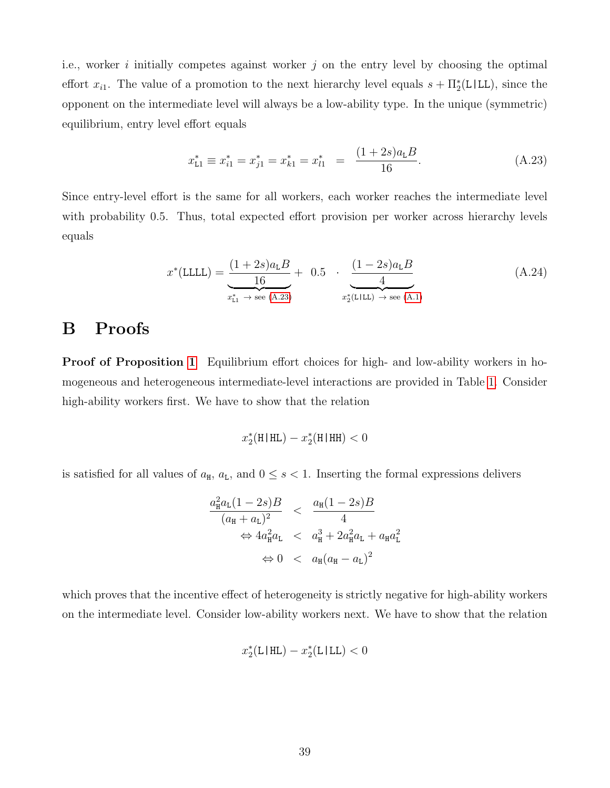i.e., worker i initially competes against worker  $j$  on the entry level by choosing the optimal effort  $x_{i1}$ . The value of a promotion to the next hierarchy level equals  $s + \Pi_2^*(L|LL)$ , since the opponent on the intermediate level will always be a low-ability type. In the unique (symmetric) equilibrium, entry level effort equals

<span id="page-41-1"></span>
$$
x_{\text{L1}}^* \equiv x_{i1}^* = x_{j1}^* = x_{k1}^* = x_{l1}^* = \frac{(1+2s)a_{\text{L}}B}{16}.
$$
 (A.23)

Since entry-level effort is the same for all workers, each worker reaches the intermediate level with probability 0.5. Thus, total expected effort provision per worker across hierarchy levels equals

$$
x^*(\text{LLL}) = \underbrace{\frac{(1+2s)a_{\text{L}}B}{16}}_{x_{\text{L1}}^* \to \text{see (A.23)}} + 0.5 \cdot \underbrace{\frac{(1-2s)a_{\text{L}}B}{4}}_{x_2^*(\text{LILL}) \to \text{see (A.1})}
$$
(A.24)

# <span id="page-41-0"></span>B Proofs

Proof of Proposition [1](#page-11-2) Equilibrium effort choices for high- and low-ability workers in homogeneous and heterogeneous intermediate-level interactions are provided in Table [1.](#page-9-0) Consider high-ability workers first. We have to show that the relation

$$
x_2^*(\mathbf{H} \,|\, \mathbf{HL}) - x_2^*(\mathbf{H} \,|\, \mathbf{HH}) < 0
$$

is satisfied for all values of  $a_{\text{H}}$ ,  $a_{\text{L}}$ , and  $0 \leq s < 1$ . Inserting the formal expressions delivers

$$
\frac{a_{\rm H}^2 a_{\rm L} (1 - 2s)B}{(a_{\rm H} + a_{\rm L})^2} < \frac{a_{\rm H} (1 - 2s)B}{4}
$$

$$
\Leftrightarrow 4a_{\rm H}^2 a_{\rm L} < a_{\rm H}^3 + 2a_{\rm H}^2 a_{\rm L} + a_{\rm H} a_{\rm L}^2
$$

$$
\Leftrightarrow 0 < a_{\rm H} (a_{\rm H} - a_{\rm L})^2
$$

which proves that the incentive effect of heterogeneity is strictly negative for high-ability workers on the intermediate level. Consider low-ability workers next. We have to show that the relation

$$
x_2^*(\text{L}|\text{HL}) - x_2^*(\text{L}|\text{LL}) < 0
$$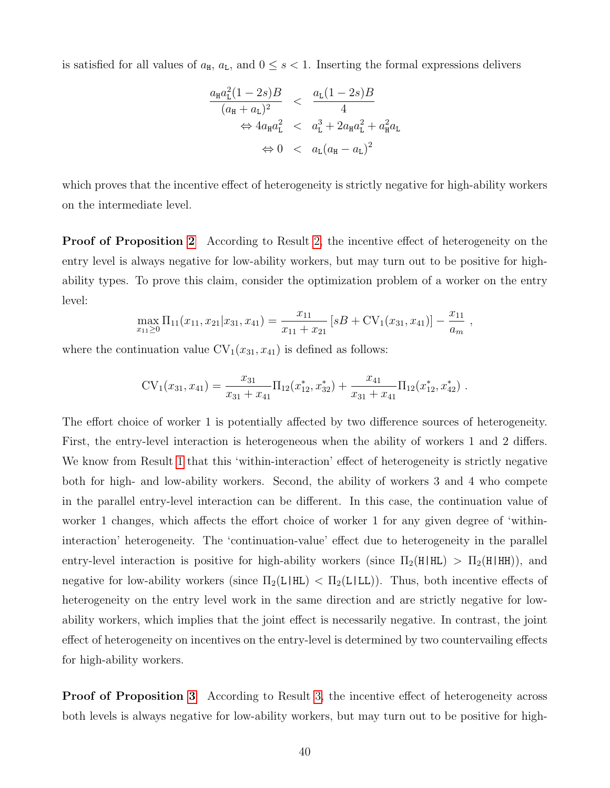is satisfied for all values of  $a_{\text{H}}$ ,  $a_{\text{L}}$ , and  $0 \leq s < 1$ . Inserting the formal expressions delivers

$$
\frac{a_{\mathrm{H}}a_{\mathrm{L}}^{2}(1-2s)B}{(a_{\mathrm{H}}+a_{\mathrm{L}})^{2}} < \frac{a_{\mathrm{L}}(1-2s)B}{4}
$$
  
\n
$$
\Leftrightarrow 4a_{\mathrm{H}}a_{\mathrm{L}}^{2} < a_{\mathrm{L}}^{3} + 2a_{\mathrm{H}}a_{\mathrm{L}}^{2} + a_{\mathrm{H}}^{2}a_{\mathrm{L}}
$$
  
\n
$$
\Leftrightarrow 0 < a_{\mathrm{L}}(a_{\mathrm{H}}-a_{\mathrm{L}})^{2}
$$

which proves that the incentive effect of heterogeneity is strictly negative for high-ability workers on the intermediate level.

Proof of Proposition [2](#page-13-0) According to Result [2,](#page-13-0) the incentive effect of heterogeneity on the entry level is always negative for low-ability workers, but may turn out to be positive for highability types. To prove this claim, consider the optimization problem of a worker on the entry level:

$$
\max_{x_{11}\geq 0} \Pi_{11}(x_{11}, x_{21}|x_{31}, x_{41}) = \frac{x_{11}}{x_{11} + x_{21}} [sB + CV_1(x_{31}, x_{41})] - \frac{x_{11}}{a_m},
$$

where the continuation value  $CV_1(x_{31}, x_{41})$  is defined as follows:

$$
CV_1(x_{31}, x_{41}) = \frac{x_{31}}{x_{31} + x_{41}} \Pi_{12}(x_{12}^*, x_{32}^*) + \frac{x_{41}}{x_{31} + x_{41}} \Pi_{12}(x_{12}^*, x_{42}^*)
$$

The effort choice of worker 1 is potentially affected by two difference sources of heterogeneity. First, the entry-level interaction is heterogeneous when the ability of workers 1 and 2 differs. We know from Result [1](#page-11-2) that this 'within-interaction' effect of heterogeneity is strictly negative both for high- and low-ability workers. Second, the ability of workers 3 and 4 who compete in the parallel entry-level interaction can be different. In this case, the continuation value of worker 1 changes, which affects the effort choice of worker 1 for any given degree of 'withininteraction' heterogeneity. The 'continuation-value' effect due to heterogeneity in the parallel entry-level interaction is positive for high-ability workers (since  $\Pi_2(H|HL) > \Pi_2(H|HH)$ ), and negative for low-ability workers (since  $\Pi_2(L|HL) < \Pi_2(L|LL)$ ). Thus, both incentive effects of heterogeneity on the entry level work in the same direction and are strictly negative for lowability workers, which implies that the joint effect is necessarily negative. In contrast, the joint effect of heterogeneity on incentives on the entry-level is determined by two countervailing effects for high-ability workers.

Proof of Proposition [3](#page-18-1) According to Result [3,](#page-18-1) the incentive effect of heterogeneity across both levels is always negative for low-ability workers, but may turn out to be positive for high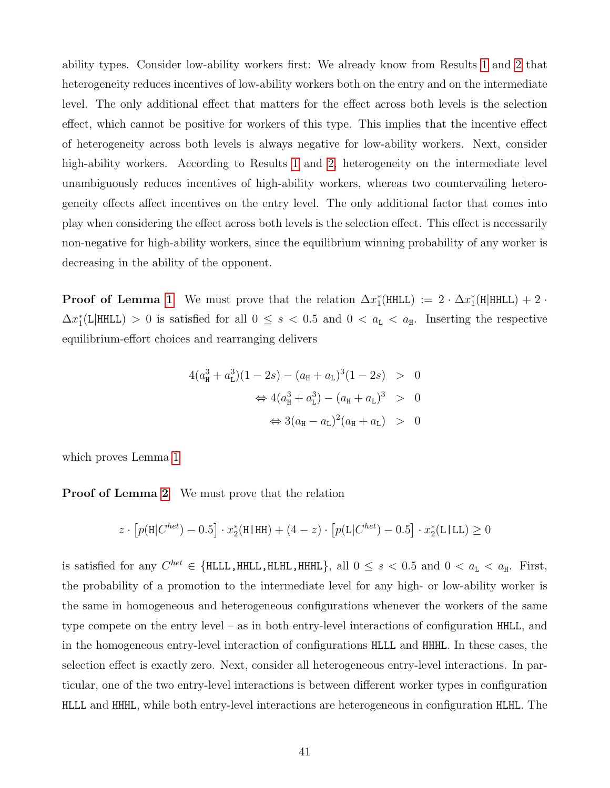ability types. Consider low-ability workers first: We already know from Results [1](#page-11-2) and [2](#page-13-0) that heterogeneity reduces incentives of low-ability workers both on the entry and on the intermediate level. The only additional effect that matters for the effect across both levels is the selection effect, which cannot be positive for workers of this type. This implies that the incentive effect of heterogeneity across both levels is always negative for low-ability workers. Next, consider high-ability workers. According to Results [1](#page-11-2) and [2,](#page-13-0) heterogeneity on the intermediate level unambiguously reduces incentives of high-ability workers, whereas two countervailing heterogeneity effects affect incentives on the entry level. The only additional factor that comes into play when considering the effect across both levels is the selection effect. This effect is necessarily non-negative for high-ability workers, since the equilibrium winning probability of any worker is decreasing in the ability of the opponent.

**Proof of Lemma [1](#page-15-0)** We must prove that the relation  $\Delta x_1^*$ (HHLL) :=  $2 \cdot \Delta x_1^*$ (H|HHLL) + 2 ·  $\Delta x_1^*(L|HHL) > 0$  is satisfied for all  $0 \leq s < 0.5$  and  $0 < a_L < a_H$ . Inserting the respective equilibrium-effort choices and rearranging delivers

$$
4(a_{\rm H}^3 + a_{\rm L}^3)(1 - 2s) - (a_{\rm H} + a_{\rm L})^3(1 - 2s) > 0
$$
  

$$
\Leftrightarrow 4(a_{\rm H}^3 + a_{\rm L}^3) - (a_{\rm H} + a_{\rm L})^3 > 0
$$
  

$$
\Leftrightarrow 3(a_{\rm H} - a_{\rm L})^2(a_{\rm H} + a_{\rm L}) > 0
$$

which proves Lemma [1](#page-15-0)

**Proof of Lemma [2](#page-17-0)** We must prove that the relation

$$
z\cdot \left[p(\mathbf{H}|C^{het})-0.5\right]\cdot x_2^*(\mathbf{H}|\mathbf{H}\mathbf{H})+(4-z)\cdot \left[p(\mathbf{L}|C^{het})-0.5\right]\cdot x_2^*(\mathbf{L}|\mathbf{L}\mathbf{L})\geq 0
$$

is satisfied for any  $C^{het} \in \{\text{HLLL}, \text{HHL}, \text{HHHL}, \text{HHHL}\},$  all  $0 \leq s < 0.5$  and  $0 < a_{\text{L}} < a_{\text{H}}$ . First, the probability of a promotion to the intermediate level for any high- or low-ability worker is the same in homogeneous and heterogeneous configurations whenever the workers of the same type compete on the entry level – as in both entry-level interactions of configuration HHLL, and in the homogeneous entry-level interaction of configurations HLLL and HHHL. In these cases, the selection effect is exactly zero. Next, consider all heterogeneous entry-level interactions. In particular, one of the two entry-level interactions is between different worker types in configuration HLLL and HHHL, while both entry-level interactions are heterogeneous in configuration HLHL. The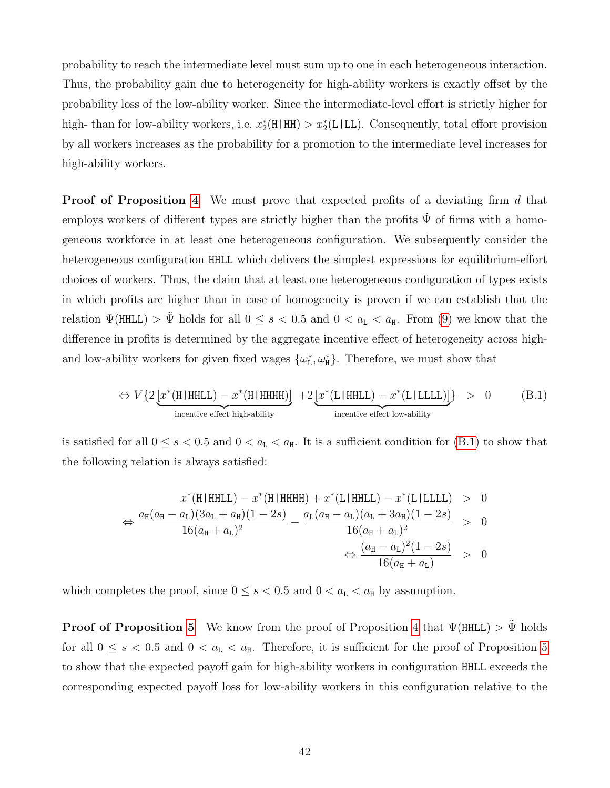probability to reach the intermediate level must sum up to one in each heterogeneous interaction. Thus, the probability gain due to heterogeneity for high-ability workers is exactly offset by the probability loss of the low-ability worker. Since the intermediate-level effort is strictly higher for high- than for low-ability workers, i.e.  $x_2^*(H|HH) > x_2^*(L|LL)$ . Consequently, total effort provision by all workers increases as the probability for a promotion to the intermediate level increases for high-ability workers.

**Proof of Proposition [4](#page-22-0)** We must prove that expected profits of a deviating firm d that employs workers of different types are strictly higher than the profits  $\tilde{\Psi}$  of firms with a homogeneous workforce in at least one heterogeneous configuration. We subsequently consider the heterogeneous configuration HHLL which delivers the simplest expressions for equilibrium-effort choices of workers. Thus, the claim that at least one heterogeneous configuration of types exists in which profits are higher than in case of homogeneity is proven if we can establish that the relation  $\Psi(HHLL) > \tilde{\Psi}$  holds for all  $0 \leq s < 0.5$  and  $0 < a_L < a_H$ . From [\(9\)](#page-24-0) we know that the difference in profits is determined by the aggregate incentive effect of heterogeneity across highand low-ability workers for given fixed wages  $\{\omega_{L}^{*}, \omega_{H}^{*}\}$ . Therefore, we must show that

<span id="page-44-0"></span>
$$
\Leftrightarrow V\{2\underbrace{[x^*(\text{H}|\text{HHLL})-x^*(\text{H}|\text{HHHH})]}_{\text{incentive effect high-ability}}\ + 2\underbrace{[x^*(\text{L}|\text{HHLL})-x^*(\text{L}|\text{LLLL})]}_{\text{incentive effect low-ability}}\} > 0 \tag{B.1}
$$

is satisfied for all  $0 \le s < 0.5$  and  $0 < a_{L} < a_{H}$ . It is a sufficient condition for [\(B.1\)](#page-44-0) to show that the following relation is always satisfied:

$$
x^*(H|HHLL) - x^*(H|HHHH) + x^*(L|HHLL) - x^*(L|LLLL) > 0
$$
  
\n
$$
\Leftrightarrow \frac{a_H(a_H - a_L)(3a_L + a_H)(1 - 2s)}{16(a_H + a_L)^2} - \frac{a_L(a_H - a_L)(a_L + 3a_H)(1 - 2s)}{16(a_H + a_L)^2} > 0
$$
  
\n
$$
\Leftrightarrow \frac{(a_H - a_L)^2(1 - 2s)}{16(a_H + a_L)} > 0
$$

which completes the proof, since  $0 \le s < 0.5$  and  $0 < a_{L} < a_{H}$  by assumption.

**Proof of Proposition [5](#page-23-0)** We know from the proof of Proposition [4](#page-22-0) that  $\Psi(\text{HHLL}) > \tilde{\Psi}$  holds for all  $0 \leq s < 0.5$  and  $0 < a_{L} < a_{H}$ . Therefore, it is sufficient for the proof of Proposition [5](#page-23-0) to show that the expected payoff gain for high-ability workers in configuration HHLL exceeds the corresponding expected payoff loss for low-ability workers in this configuration relative to the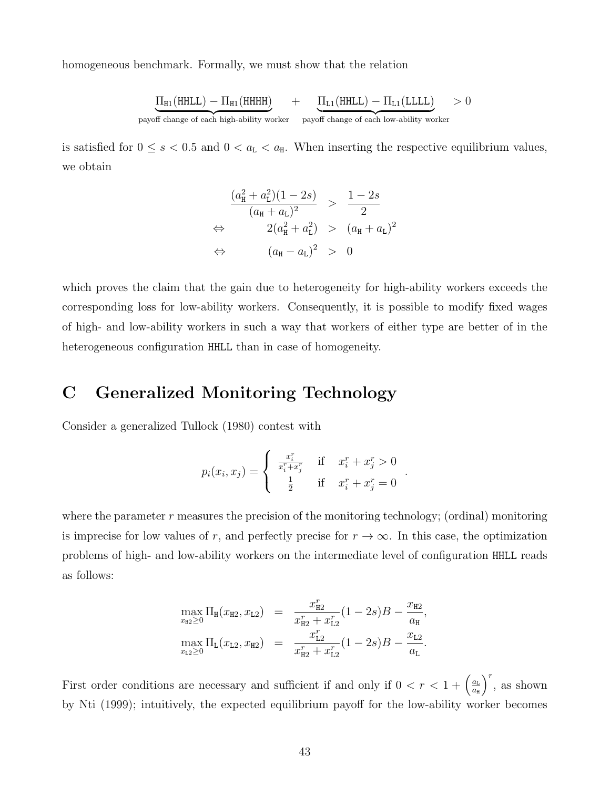homogeneous benchmark. Formally, we must show that the relation

$$
\underbrace{\Pi_{\text{H1}}(\text{HHLL}) - \Pi_{\text{H1}}(\text{HHHH})}_{\text{payoff change of each high-ability worker}} + \underbrace{\Pi_{\text{L1}}(\text{HHLL}) - \Pi_{\text{L1}}(\text{LLLL})}_{\text{payoff change of each low-ability worker}} > 0
$$

is satisfied for  $0 \le s < 0.5$  and  $0 < a_{\text{L}} < a_{\text{H}}$ . When inserting the respective equilibrium values, we obtain

$$
\frac{(a_{\rm H}^2 + a_{\rm L}^2)(1 - 2s)}{(a_{\rm H} + a_{\rm L})^2} > \frac{1 - 2s}{2}
$$
\n
$$
\Leftrightarrow \qquad 2(a_{\rm H}^2 + a_{\rm L}^2) > (a_{\rm H} + a_{\rm L})^2
$$
\n
$$
\Leftrightarrow \qquad (a_{\rm H} - a_{\rm L})^2 > 0
$$

which proves the claim that the gain due to heterogeneity for high-ability workers exceeds the corresponding loss for low-ability workers. Consequently, it is possible to modify fixed wages of high- and low-ability workers in such a way that workers of either type are better of in the heterogeneous configuration HHLL than in case of homogeneity.

### <span id="page-45-0"></span>C Generalized Monitoring Technology

Consider a generalized Tullock (1980) contest with

$$
p_i(x_i, x_j) = \begin{cases} \frac{x_i^r}{x_i^r + x_j^r} & \text{if } x_i^r + x_j^r > 0\\ \frac{1}{2} & \text{if } x_i^r + x_j^r = 0 \end{cases}
$$

.

where the parameter  $r$  measures the precision of the monitoring technology; (ordinal) monitoring is imprecise for low values of r, and perfectly precise for  $r \to \infty$ . In this case, the optimization problems of high- and low-ability workers on the intermediate level of configuration HHLL reads as follows:

$$
\max_{x_{\text{H2}} \geq 0} \Pi_{\text{H}}(x_{\text{H2}}, x_{\text{L2}}) = \frac{x_{\text{H2}}^r}{x_{\text{H2}}^r + x_{\text{L2}}^r} (1 - 2s)B - \frac{x_{\text{H2}}}{a_{\text{H}}},
$$
  

$$
\max_{x_{\text{L2}} \geq 0} \Pi_{\text{L}}(x_{\text{L2}}, x_{\text{H2}}) = \frac{x_{\text{L2}}^r}{x_{\text{H2}}^r + x_{\text{L2}}^r} (1 - 2s)B - \frac{x_{\text{L2}}}{a_{\text{L}}}.
$$

First order conditions are necessary and sufficient if and only if  $0 < r < 1 + \left(\frac{a_L}{a_R}\right)^2$  $a_{\rm H}$  $\int$ <sup>r</sup>, as shown by Nti (1999); intuitively, the expected equilibrium payoff for the low-ability worker becomes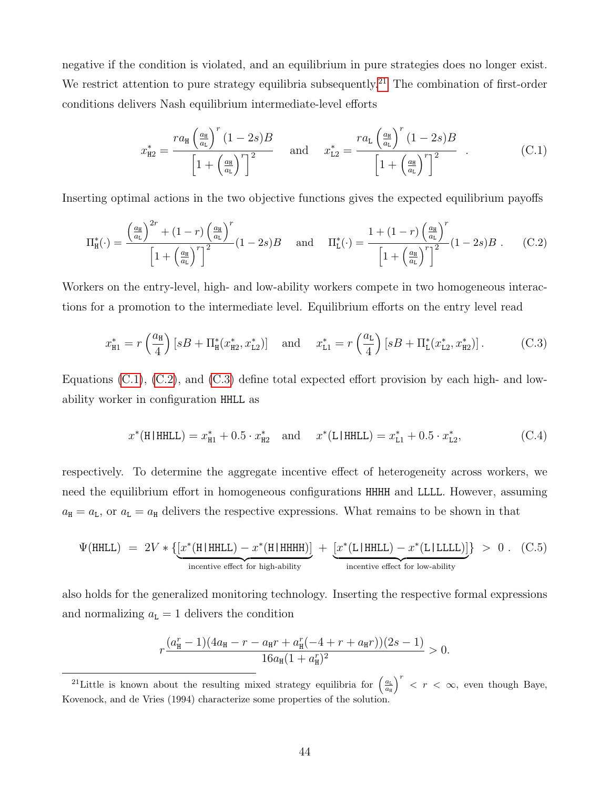negative if the condition is violated, and an equilibrium in pure strategies does no longer exist. We restrict attention to pure strategy equilibria subsequently.<sup>[21](#page--1-0)</sup> The combination of first-order conditions delivers Nash equilibrium intermediate-level efforts

<span id="page-46-0"></span>
$$
x_{\rm H2}^* = \frac{ra_{\rm H} \left(\frac{a_{\rm H}}{a_{\rm L}}\right)^r (1-2s)B}{\left[1+\left(\frac{a_{\rm H}}{a_{\rm L}}\right)^r\right]^2} \quad \text{and} \quad x_{\rm L2}^* = \frac{ra_{\rm L} \left(\frac{a_{\rm H}}{a_{\rm L}}\right)^r (1-2s)B}{\left[1+\left(\frac{a_{\rm H}}{a_{\rm L}}\right)^r\right]^2} \quad . \tag{C.1}
$$

Inserting optimal actions in the two objective functions gives the expected equilibrium payoffs

<span id="page-46-1"></span>
$$
\Pi_{\rm H}^*(\cdot) = \frac{\left(\frac{a_{\rm H}}{a_{\rm L}}\right)^{2r} + (1-r)\left(\frac{a_{\rm H}}{a_{\rm L}}\right)^r}{\left[1 + \left(\frac{a_{\rm H}}{a_{\rm L}}\right)^r\right]^2} (1-2s)B \quad \text{and} \quad \Pi_{\rm L}^*(\cdot) = \frac{1 + (1-r)\left(\frac{a_{\rm H}}{a_{\rm L}}\right)^r}{\left[1 + \left(\frac{a_{\rm H}}{a_{\rm L}}\right)^r\right]^2} (1-2s)B \quad (C.2)
$$

Workers on the entry-level, high- and low-ability workers compete in two homogeneous interactions for a promotion to the intermediate level. Equilibrium efforts on the entry level read

<span id="page-46-2"></span>
$$
x_{\rm H1}^* = r\left(\frac{a_{\rm H}}{4}\right) \left[ sB + \Pi_{\rm H}^*(x_{\rm H2}^*, x_{\rm L2}^*) \right] \quad \text{and} \quad x_{\rm L1}^* = r\left(\frac{a_{\rm L}}{4}\right) \left[ sB + \Pi_{\rm L}^*(x_{\rm L2}^*, x_{\rm H2}^*) \right]. \tag{C.3}
$$

Equations  $(C.1)$ ,  $(C.2)$ , and  $(C.3)$  define total expected effort provision by each high- and lowability worker in configuration HHLL as

$$
x^*(H|HHLL) = x_{H1}^* + 0.5 \cdot x_{H2}^* \quad \text{and} \quad x^*(L|HHLL) = x_{L1}^* + 0.5 \cdot x_{L2}^*, \tag{C.4}
$$

respectively. To determine the aggregate incentive effect of heterogeneity across workers, we need the equilibrium effort in homogeneous configurations HHHH and LLLL. However, assuming  $a_{\text{H}} = a_{\text{L}}$ , or  $a_{\text{L}} = a_{\text{H}}$  delivers the respective expressions. What remains to be shown in that

$$
\Psi(\text{HHLL}) = 2V * \left\{ \underbrace{\left[ x^*(\text{H} | \text{HHLL}) - x^*(\text{H} | \text{HHHH}) \right]}_{\text{incentive effect for high-ability}} + \underbrace{\left[ x^*(\text{L} | \text{HHLL}) - x^*(\text{L} | \text{LLLL}) \right]}_{\text{incentive effect for low-ability}} \right\} > 0. \quad \text{(C.5)}
$$

also holds for the generalized monitoring technology. Inserting the respective formal expressions and normalizing  $a<sub>L</sub> = 1$  delivers the condition

$$
r\frac{(a_{\tt H}^r - 1)(4a_{\tt H} - r - a_{\tt H}r + a_{\tt H}^r(-4 + r + a_{\tt H}r))(2s - 1)}{16a_{\tt H}(1 + a_{\tt H}^r)^2} > 0.
$$

<sup>21</sup>Little is known about the resulting mixed strategy equilibria for  $\left(\frac{a_L}{a_H}\right)^r < r < \infty$ , even though Baye, Kovenock, and de Vries (1994) characterize some properties of the solution.